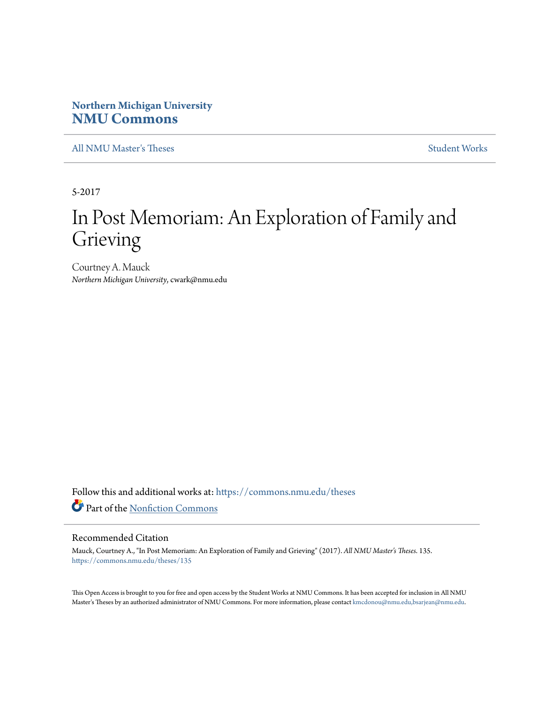# **Northern Michigan University [NMU Commons](https://commons.nmu.edu?utm_source=commons.nmu.edu%2Ftheses%2F135&utm_medium=PDF&utm_campaign=PDFCoverPages)**

[All NMU Master's Theses](https://commons.nmu.edu/theses?utm_source=commons.nmu.edu%2Ftheses%2F135&utm_medium=PDF&utm_campaign=PDFCoverPages) [Student Works](https://commons.nmu.edu/student_works?utm_source=commons.nmu.edu%2Ftheses%2F135&utm_medium=PDF&utm_campaign=PDFCoverPages)

5-2017

# In Post Memoriam: An Exploration of Family and Grieving

Courtney A. Mauck *Northern Michigan University*, cwark@nmu.edu

Follow this and additional works at: [https://commons.nmu.edu/theses](https://commons.nmu.edu/theses?utm_source=commons.nmu.edu%2Ftheses%2F135&utm_medium=PDF&utm_campaign=PDFCoverPages) Part of the [Nonfiction Commons](http://network.bepress.com/hgg/discipline/1152?utm_source=commons.nmu.edu%2Ftheses%2F135&utm_medium=PDF&utm_campaign=PDFCoverPages)

#### Recommended Citation

Mauck, Courtney A., "In Post Memoriam: An Exploration of Family and Grieving" (2017). *All NMU Master's Theses*. 135. [https://commons.nmu.edu/theses/135](https://commons.nmu.edu/theses/135?utm_source=commons.nmu.edu%2Ftheses%2F135&utm_medium=PDF&utm_campaign=PDFCoverPages)

This Open Access is brought to you for free and open access by the Student Works at NMU Commons. It has been accepted for inclusion in All NMU Master's Theses by an authorized administrator of NMU Commons. For more information, please contact [kmcdonou@nmu.edu,bsarjean@nmu.edu.](mailto:kmcdonou@nmu.edu,bsarjean@nmu.edu)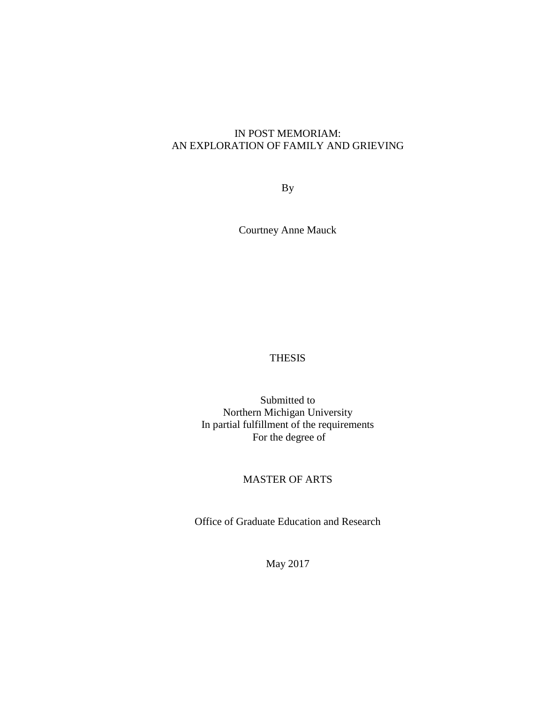## IN POST MEMORIAM: AN EXPLORATION OF FAMILY AND GRIEVING

By

Courtney Anne Mauck

## THESIS

Submitted to Northern Michigan University In partial fulfillment of the requirements For the degree of

## MASTER OF ARTS

Office of Graduate Education and Research

May 2017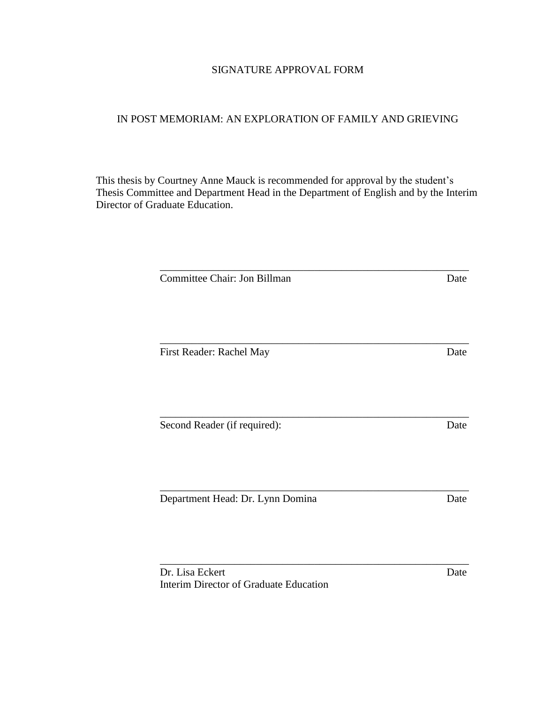## SIGNATURE APPROVAL FORM

## IN POST MEMORIAM: AN EXPLORATION OF FAMILY AND GRIEVING

This thesis by Courtney Anne Mauck is recommended for approval by the student's Thesis Committee and Department Head in the Department of English and by the Interim Director of Graduate Education.

| Committee Chair: Jon Billman           | Date |
|----------------------------------------|------|
|                                        |      |
|                                        |      |
|                                        |      |
| First Reader: Rachel May               | Date |
|                                        |      |
|                                        |      |
|                                        |      |
| Second Reader (if required):           | Date |
|                                        |      |
|                                        |      |
|                                        |      |
|                                        |      |
| Department Head: Dr. Lynn Domina       | Date |
|                                        |      |
|                                        |      |
|                                        |      |
| Dr. Lisa Eckert                        | Date |
| Interim Director of Graduate Education |      |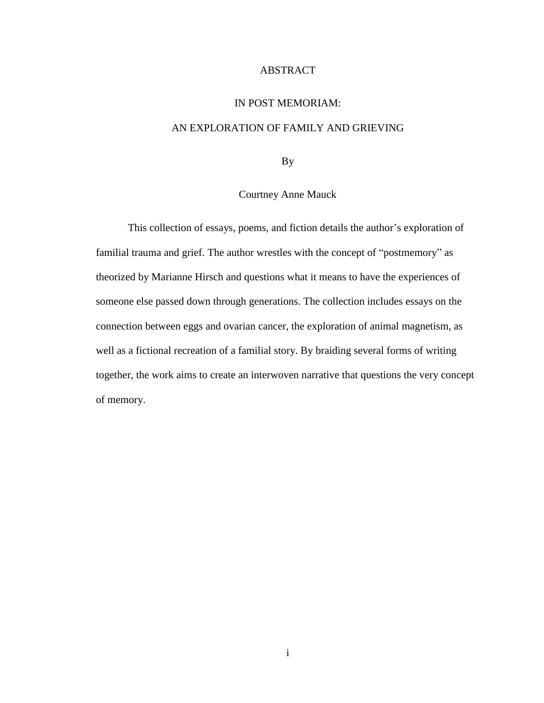#### ABSTRACT

#### IN POST MEMORIAM:

### AN EXPLORATION OF FAMILY AND GRIEVING

By

#### Courtney Anne Mauck

This collection of essays, poems, and fiction details the author's exploration of familial trauma and grief. The author wrestles with the concept of "postmemory" as theorized by Marianne Hirsch and questions what it means to have the experiences of someone else passed down through generations. The collection includes essays on the connection between eggs and ovarian cancer, the exploration of animal magnetism, as well as a fictional recreation of a familial story. By braiding several forms of writing together, the work aims to create an interwoven narrative that questions the very concept of memory.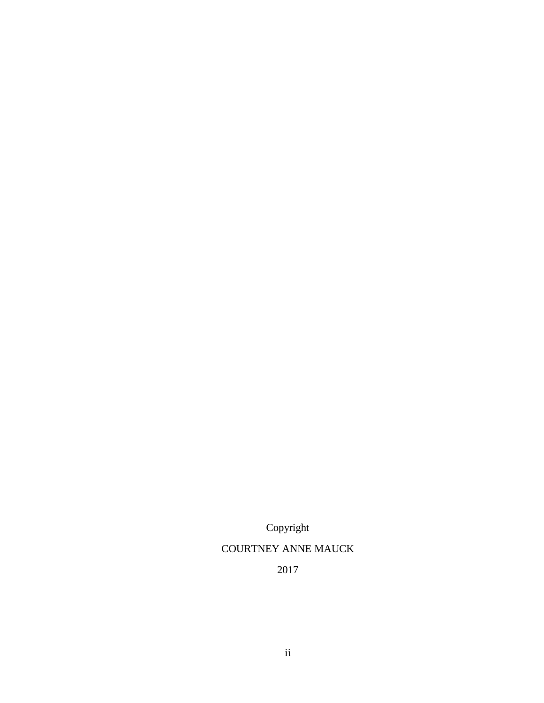Copyright COURTNEY ANNE MAUCK 2017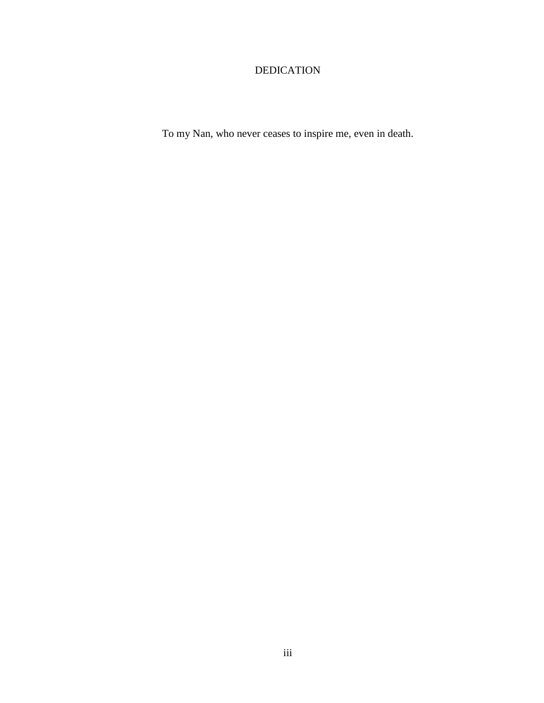# DEDICATION

To my Nan, who never ceases to inspire me, even in death.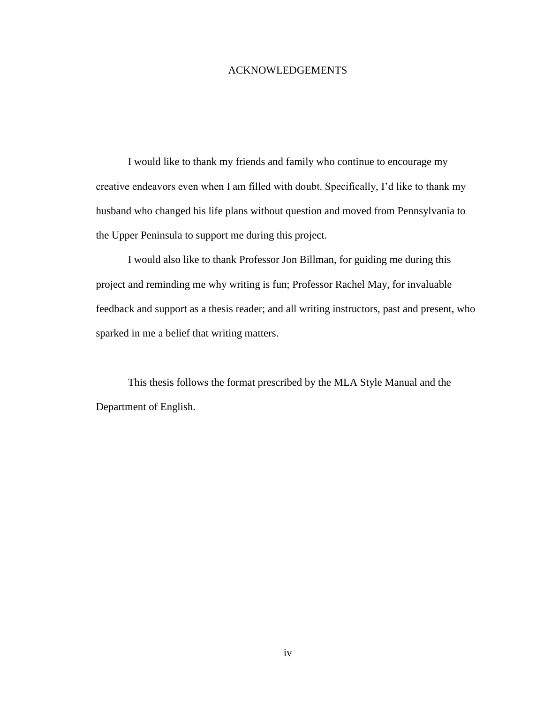#### ACKNOWLEDGEMENTS

I would like to thank my friends and family who continue to encourage my creative endeavors even when I am filled with doubt. Specifically, I'd like to thank my husband who changed his life plans without question and moved from Pennsylvania to the Upper Peninsula to support me during this project.

I would also like to thank Professor Jon Billman, for guiding me during this project and reminding me why writing is fun; Professor Rachel May, for invaluable feedback and support as a thesis reader; and all writing instructors, past and present, who sparked in me a belief that writing matters.

This thesis follows the format prescribed by the MLA Style Manual and the Department of English.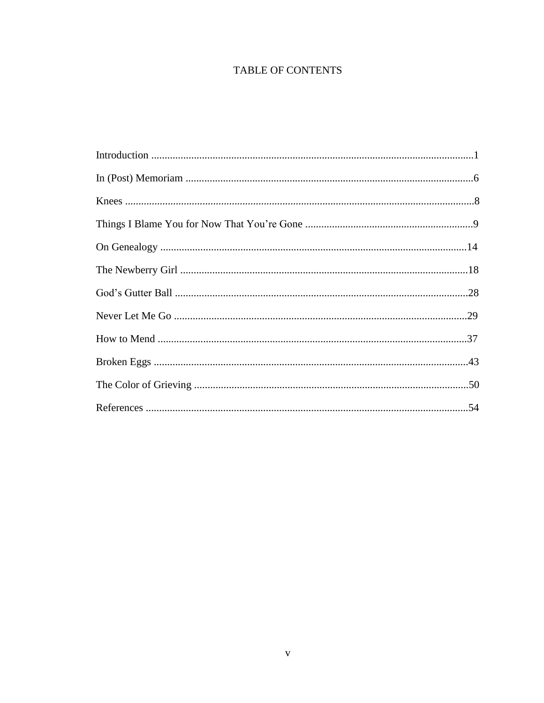# TABLE OF CONTENTS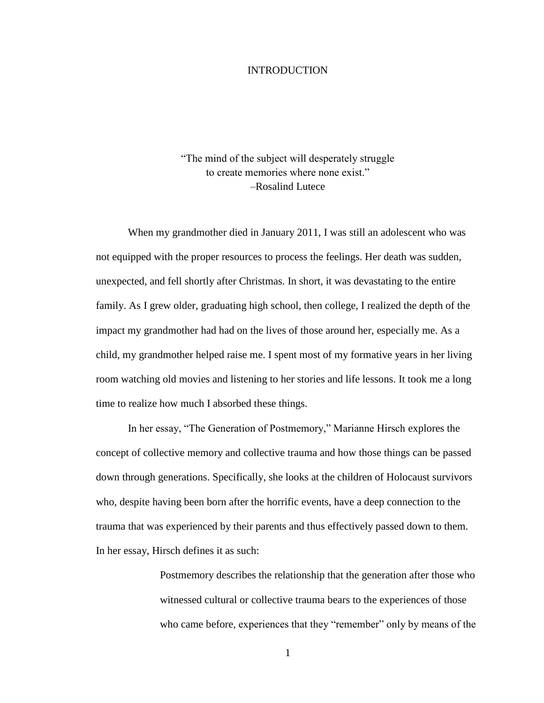#### INTRODUCTION

"The mind of the subject will desperately struggle to create memories where none exist." –Rosalind Lutece

When my grandmother died in January 2011, I was still an adolescent who was not equipped with the proper resources to process the feelings. Her death was sudden, unexpected, and fell shortly after Christmas. In short, it was devastating to the entire family. As I grew older, graduating high school, then college, I realized the depth of the impact my grandmother had had on the lives of those around her, especially me. As a child, my grandmother helped raise me. I spent most of my formative years in her living room watching old movies and listening to her stories and life lessons. It took me a long time to realize how much I absorbed these things.

In her essay, "The Generation of Postmemory," Marianne Hirsch explores the concept of collective memory and collective trauma and how those things can be passed down through generations. Specifically, she looks at the children of Holocaust survivors who, despite having been born after the horrific events, have a deep connection to the trauma that was experienced by their parents and thus effectively passed down to them. In her essay, Hirsch defines it as such:

> Postmemory describes the relationship that the generation after those who witnessed cultural or collective trauma bears to the experiences of those who came before, experiences that they "remember" only by means of the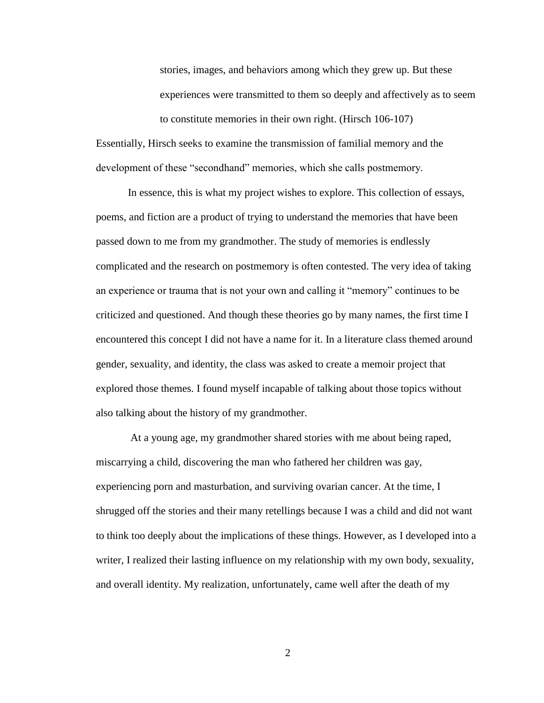stories, images, and behaviors among which they grew up. But these experiences were transmitted to them so deeply and affectively as to seem to constitute memories in their own right. (Hirsch 106-107)

Essentially, Hirsch seeks to examine the transmission of familial memory and the development of these "secondhand" memories, which she calls postmemory.

In essence, this is what my project wishes to explore. This collection of essays, poems, and fiction are a product of trying to understand the memories that have been passed down to me from my grandmother. The study of memories is endlessly complicated and the research on postmemory is often contested. The very idea of taking an experience or trauma that is not your own and calling it "memory" continues to be criticized and questioned. And though these theories go by many names, the first time I encountered this concept I did not have a name for it. In a literature class themed around gender, sexuality, and identity, the class was asked to create a memoir project that explored those themes. I found myself incapable of talking about those topics without also talking about the history of my grandmother.

At a young age, my grandmother shared stories with me about being raped, miscarrying a child, discovering the man who fathered her children was gay, experiencing porn and masturbation, and surviving ovarian cancer. At the time, I shrugged off the stories and their many retellings because I was a child and did not want to think too deeply about the implications of these things. However, as I developed into a writer, I realized their lasting influence on my relationship with my own body, sexuality, and overall identity. My realization, unfortunately, came well after the death of my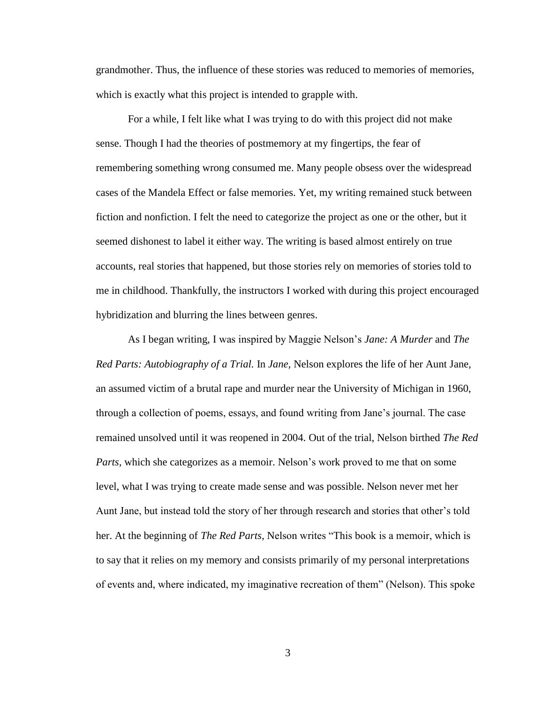grandmother. Thus, the influence of these stories was reduced to memories of memories, which is exactly what this project is intended to grapple with.

For a while, I felt like what I was trying to do with this project did not make sense. Though I had the theories of postmemory at my fingertips, the fear of remembering something wrong consumed me. Many people obsess over the widespread cases of the Mandela Effect or false memories. Yet, my writing remained stuck between fiction and nonfiction. I felt the need to categorize the project as one or the other, but it seemed dishonest to label it either way. The writing is based almost entirely on true accounts, real stories that happened, but those stories rely on memories of stories told to me in childhood. Thankfully, the instructors I worked with during this project encouraged hybridization and blurring the lines between genres.

As I began writing, I was inspired by Maggie Nelson's *Jane: A Murder* and *The Red Parts: Autobiography of a Trial.* In *Jane,* Nelson explores the life of her Aunt Jane, an assumed victim of a brutal rape and murder near the University of Michigan in 1960, through a collection of poems, essays, and found writing from Jane's journal. The case remained unsolved until it was reopened in 2004. Out of the trial, Nelson birthed *The Red Parts,* which she categorizes as a memoir. Nelson's work proved to me that on some level, what I was trying to create made sense and was possible. Nelson never met her Aunt Jane, but instead told the story of her through research and stories that other's told her. At the beginning of *The Red Parts*, Nelson writes "This book is a memoir, which is to say that it relies on my memory and consists primarily of my personal interpretations of events and, where indicated, my imaginative recreation of them" (Nelson). This spoke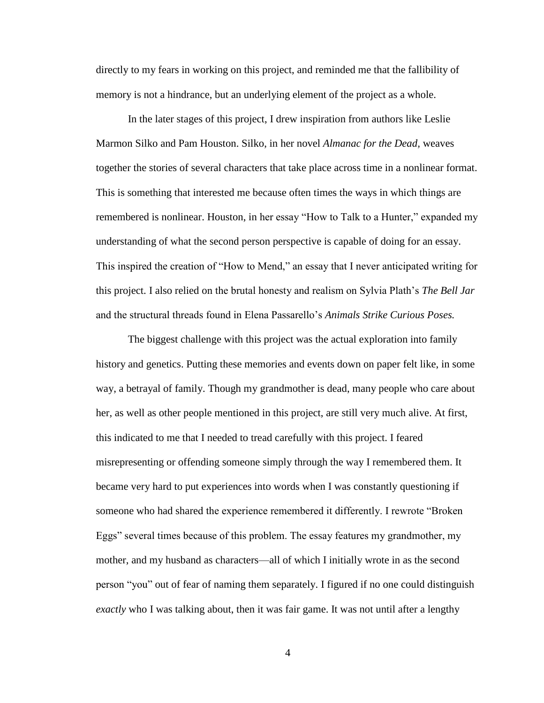directly to my fears in working on this project, and reminded me that the fallibility of memory is not a hindrance, but an underlying element of the project as a whole.

In the later stages of this project, I drew inspiration from authors like Leslie Marmon Silko and Pam Houston. Silko, in her novel *Almanac for the Dead,* weaves together the stories of several characters that take place across time in a nonlinear format. This is something that interested me because often times the ways in which things are remembered is nonlinear. Houston, in her essay "How to Talk to a Hunter," expanded my understanding of what the second person perspective is capable of doing for an essay. This inspired the creation of "How to Mend," an essay that I never anticipated writing for this project. I also relied on the brutal honesty and realism on Sylvia Plath's *The Bell Jar*  and the structural threads found in Elena Passarello's *Animals Strike Curious Poses.* 

The biggest challenge with this project was the actual exploration into family history and genetics. Putting these memories and events down on paper felt like, in some way, a betrayal of family. Though my grandmother is dead, many people who care about her, as well as other people mentioned in this project, are still very much alive. At first, this indicated to me that I needed to tread carefully with this project. I feared misrepresenting or offending someone simply through the way I remembered them. It became very hard to put experiences into words when I was constantly questioning if someone who had shared the experience remembered it differently. I rewrote "Broken Eggs" several times because of this problem. The essay features my grandmother, my mother, and my husband as characters—all of which I initially wrote in as the second person "you" out of fear of naming them separately. I figured if no one could distinguish *exactly* who I was talking about, then it was fair game. It was not until after a lengthy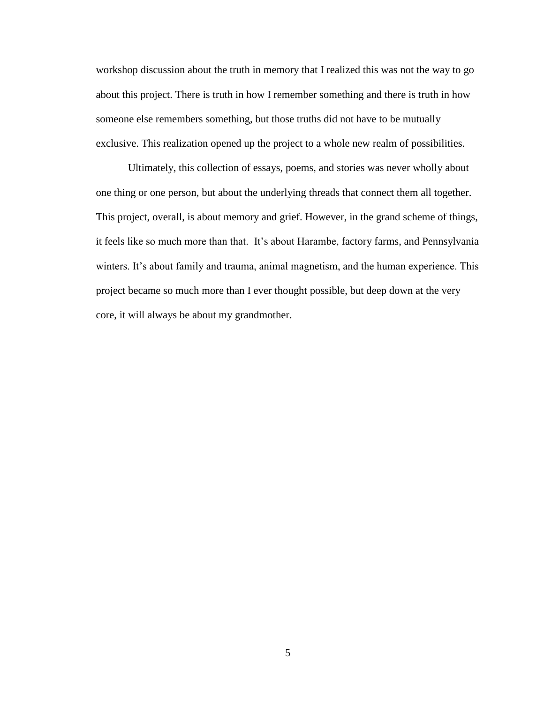workshop discussion about the truth in memory that I realized this was not the way to go about this project. There is truth in how I remember something and there is truth in how someone else remembers something, but those truths did not have to be mutually exclusive. This realization opened up the project to a whole new realm of possibilities.

Ultimately, this collection of essays, poems, and stories was never wholly about one thing or one person, but about the underlying threads that connect them all together. This project, overall, is about memory and grief. However, in the grand scheme of things, it feels like so much more than that. It's about Harambe, factory farms, and Pennsylvania winters. It's about family and trauma, animal magnetism, and the human experience. This project became so much more than I ever thought possible, but deep down at the very core, it will always be about my grandmother.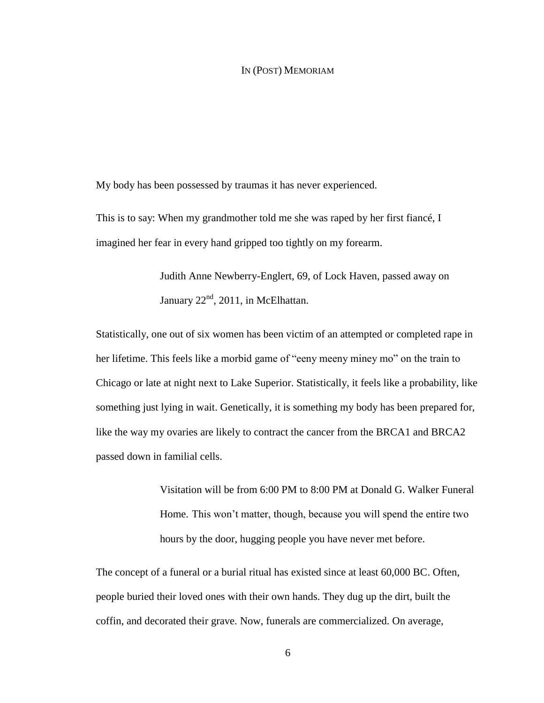#### IN (POST) MEMORIAM

My body has been possessed by traumas it has never experienced.

This is to say: When my grandmother told me she was raped by her first fiancé, I imagined her fear in every hand gripped too tightly on my forearm.

> Judith Anne Newberry-Englert, 69, of Lock Haven, passed away on January  $22<sup>nd</sup>$ , 2011, in McElhattan.

Statistically, one out of six women has been victim of an attempted or completed rape in her lifetime. This feels like a morbid game of "eeny meeny miney mo" on the train to Chicago or late at night next to Lake Superior. Statistically, it feels like a probability, like something just lying in wait. Genetically, it is something my body has been prepared for, like the way my ovaries are likely to contract the cancer from the BRCA1 and BRCA2 passed down in familial cells.

> Visitation will be from 6:00 PM to 8:00 PM at Donald G. Walker Funeral Home. This won't matter, though, because you will spend the entire two hours by the door, hugging people you have never met before.

The concept of a funeral or a burial ritual has existed since at least 60,000 BC. Often, people buried their loved ones with their own hands. They dug up the dirt, built the coffin, and decorated their grave. Now, funerals are commercialized. On average,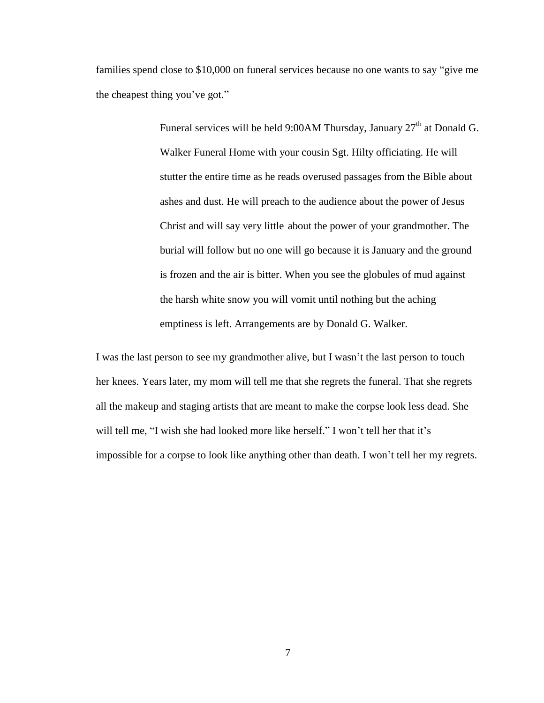families spend close to \$10,000 on funeral services because no one wants to say "give me the cheapest thing you've got."

> Funeral services will be held 9:00AM Thursday, January  $27<sup>th</sup>$  at Donald G. Walker Funeral Home with your cousin Sgt. Hilty officiating. He will stutter the entire time as he reads overused passages from the Bible about ashes and dust. He will preach to the audience about the power of Jesus Christ and will say very little about the power of your grandmother. The burial will follow but no one will go because it is January and the ground is frozen and the air is bitter. When you see the globules of mud against the harsh white snow you will vomit until nothing but the aching emptiness is left. Arrangements are by Donald G. Walker.

I was the last person to see my grandmother alive, but I wasn't the last person to touch her knees. Years later, my mom will tell me that she regrets the funeral. That she regrets all the makeup and staging artists that are meant to make the corpse look less dead. She will tell me, "I wish she had looked more like herself." I won't tell her that it's impossible for a corpse to look like anything other than death. I won't tell her my regrets.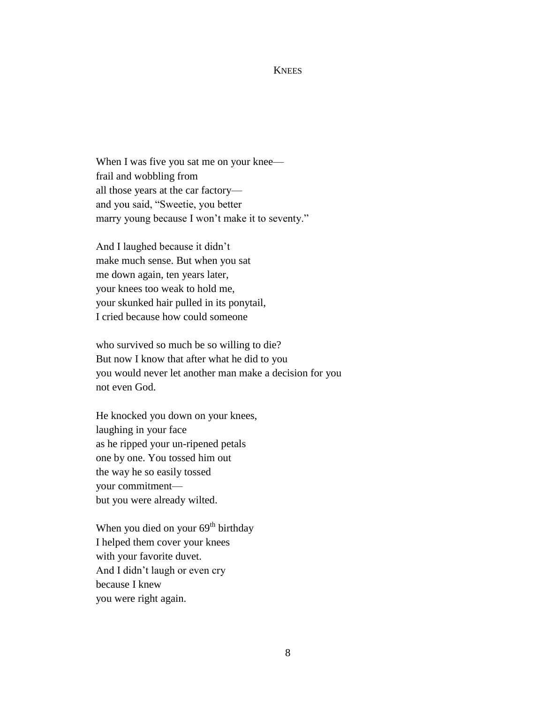#### **KNEES**

When I was five you sat me on your knee frail and wobbling from all those years at the car factory and you said, "Sweetie, you better marry young because I won't make it to seventy."

And I laughed because it didn't make much sense. But when you sat me down again, ten years later, your knees too weak to hold me, your skunked hair pulled in its ponytail, I cried because how could someone

who survived so much be so willing to die? But now I know that after what he did to you you would never let another man make a decision for you not even God.

He knocked you down on your knees, laughing in your face as he ripped your un-ripened petals one by one. You tossed him out the way he so easily tossed your commitment but you were already wilted.

When you died on your  $69<sup>th</sup>$  birthday I helped them cover your knees with your favorite duvet. And I didn't laugh or even cry because I knew you were right again.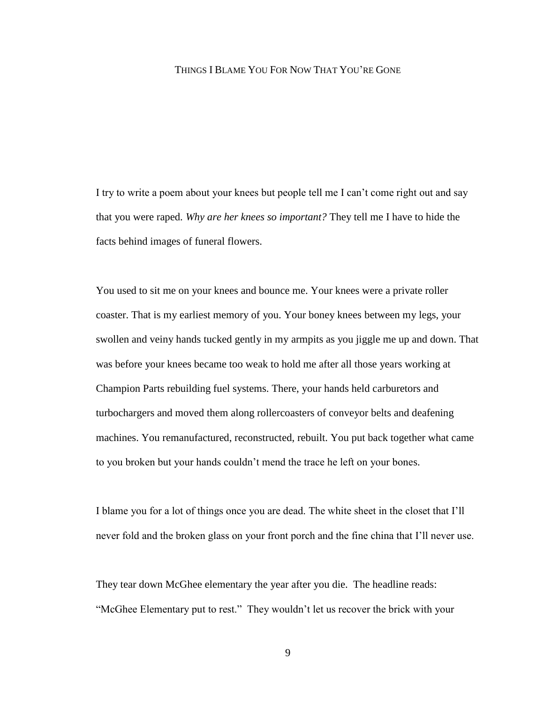#### THINGS I BLAME YOU FOR NOW THAT YOU'RE GONE

I try to write a poem about your knees but people tell me I can't come right out and say that you were raped. *Why are her knees so important?* They tell me I have to hide the facts behind images of funeral flowers.

You used to sit me on your knees and bounce me. Your knees were a private roller coaster. That is my earliest memory of you. Your boney knees between my legs, your swollen and veiny hands tucked gently in my armpits as you jiggle me up and down. That was before your knees became too weak to hold me after all those years working at Champion Parts rebuilding fuel systems. There, your hands held carburetors and turbochargers and moved them along rollercoasters of conveyor belts and deafening machines. You remanufactured, reconstructed, rebuilt. You put back together what came to you broken but your hands couldn't mend the trace he left on your bones.

I blame you for a lot of things once you are dead. The white sheet in the closet that I'll never fold and the broken glass on your front porch and the fine china that I'll never use.

They tear down McGhee elementary the year after you die. The headline reads: "McGhee Elementary put to rest." They wouldn't let us recover the brick with your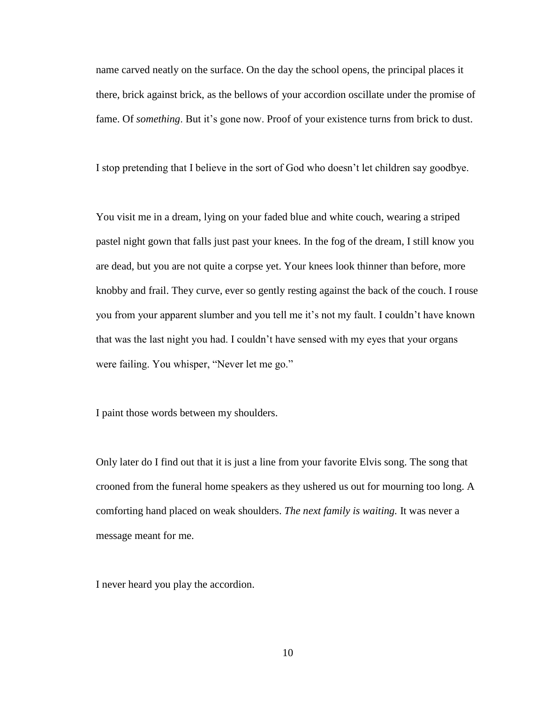name carved neatly on the surface. On the day the school opens, the principal places it there, brick against brick, as the bellows of your accordion oscillate under the promise of fame. Of *something*. But it's gone now. Proof of your existence turns from brick to dust.

I stop pretending that I believe in the sort of God who doesn't let children say goodbye.

You visit me in a dream, lying on your faded blue and white couch, wearing a striped pastel night gown that falls just past your knees. In the fog of the dream, I still know you are dead, but you are not quite a corpse yet. Your knees look thinner than before, more knobby and frail. They curve, ever so gently resting against the back of the couch. I rouse you from your apparent slumber and you tell me it's not my fault. I couldn't have known that was the last night you had. I couldn't have sensed with my eyes that your organs were failing. You whisper, "Never let me go."

I paint those words between my shoulders.

Only later do I find out that it is just a line from your favorite Elvis song. The song that crooned from the funeral home speakers as they ushered us out for mourning too long. A comforting hand placed on weak shoulders. *The next family is waiting.* It was never a message meant for me.

I never heard you play the accordion.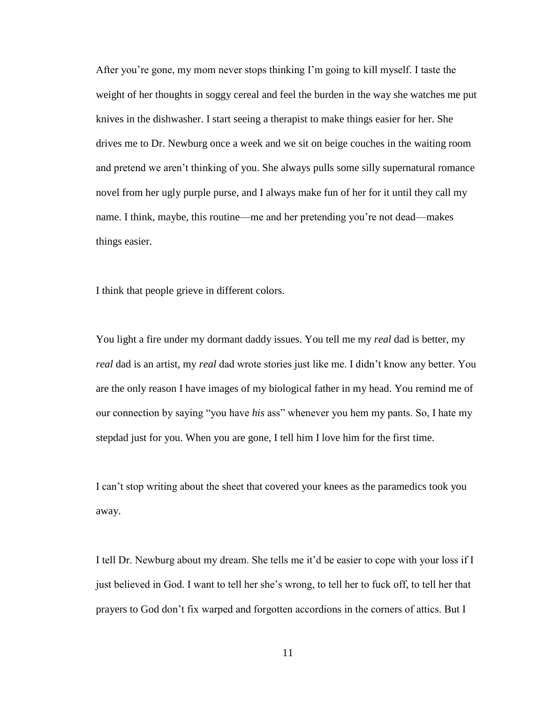After you're gone, my mom never stops thinking I'm going to kill myself. I taste the weight of her thoughts in soggy cereal and feel the burden in the way she watches me put knives in the dishwasher. I start seeing a therapist to make things easier for her. She drives me to Dr. Newburg once a week and we sit on beige couches in the waiting room and pretend we aren't thinking of you. She always pulls some silly supernatural romance novel from her ugly purple purse, and I always make fun of her for it until they call my name. I think, maybe, this routine—me and her pretending you're not dead—makes things easier.

I think that people grieve in different colors.

You light a fire under my dormant daddy issues. You tell me my *real* dad is better, my *real* dad is an artist, my *real* dad wrote stories just like me. I didn't know any better. You are the only reason I have images of my biological father in my head. You remind me of our connection by saying "you have *his* ass" whenever you hem my pants. So, I hate my stepdad just for you. When you are gone, I tell him I love him for the first time.

I can't stop writing about the sheet that covered your knees as the paramedics took you away.

I tell Dr. Newburg about my dream. She tells me it'd be easier to cope with your loss if I just believed in God. I want to tell her she's wrong, to tell her to fuck off, to tell her that prayers to God don't fix warped and forgotten accordions in the corners of attics. But I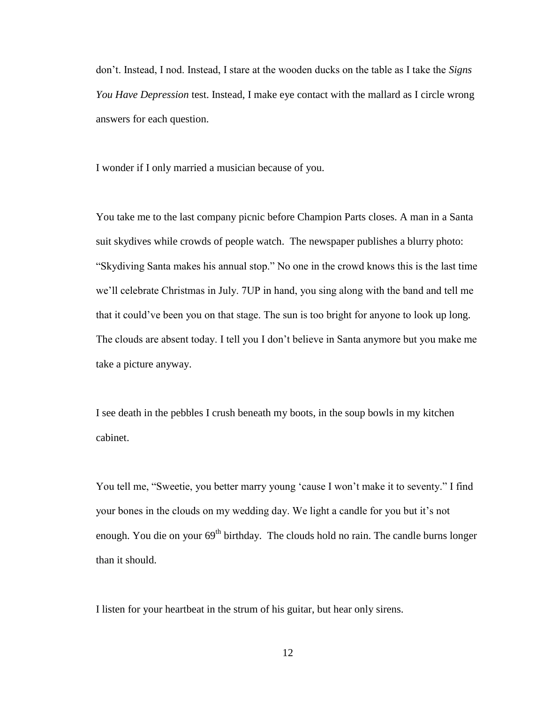don't. Instead, I nod. Instead, I stare at the wooden ducks on the table as I take the *Signs You Have Depression* test. Instead, I make eye contact with the mallard as I circle wrong answers for each question.

I wonder if I only married a musician because of you.

You take me to the last company picnic before Champion Parts closes. A man in a Santa suit skydives while crowds of people watch. The newspaper publishes a blurry photo: "Skydiving Santa makes his annual stop." No one in the crowd knows this is the last time we'll celebrate Christmas in July. 7UP in hand, you sing along with the band and tell me that it could've been you on that stage. The sun is too bright for anyone to look up long. The clouds are absent today. I tell you I don't believe in Santa anymore but you make me take a picture anyway.

I see death in the pebbles I crush beneath my boots, in the soup bowls in my kitchen cabinet.

You tell me, "Sweetie, you better marry young 'cause I won't make it to seventy." I find your bones in the clouds on my wedding day. We light a candle for you but it's not enough. You die on your  $69<sup>th</sup>$  birthday. The clouds hold no rain. The candle burns longer than it should.

I listen for your heartbeat in the strum of his guitar, but hear only sirens.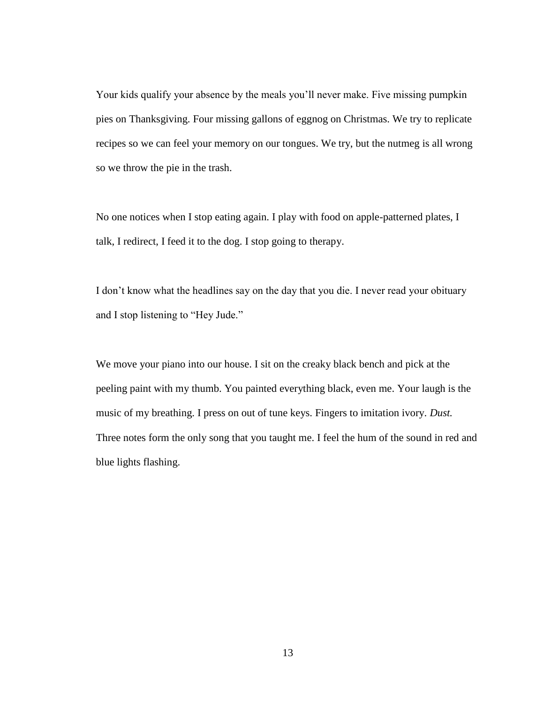Your kids qualify your absence by the meals you'll never make. Five missing pumpkin pies on Thanksgiving. Four missing gallons of eggnog on Christmas. We try to replicate recipes so we can feel your memory on our tongues. We try, but the nutmeg is all wrong so we throw the pie in the trash.

No one notices when I stop eating again. I play with food on apple-patterned plates, I talk, I redirect, I feed it to the dog. I stop going to therapy.

I don't know what the headlines say on the day that you die. I never read your obituary and I stop listening to "Hey Jude."

We move your piano into our house. I sit on the creaky black bench and pick at the peeling paint with my thumb. You painted everything black, even me. Your laugh is the music of my breathing. I press on out of tune keys. Fingers to imitation ivory. *Dust.*  Three notes form the only song that you taught me. I feel the hum of the sound in red and blue lights flashing.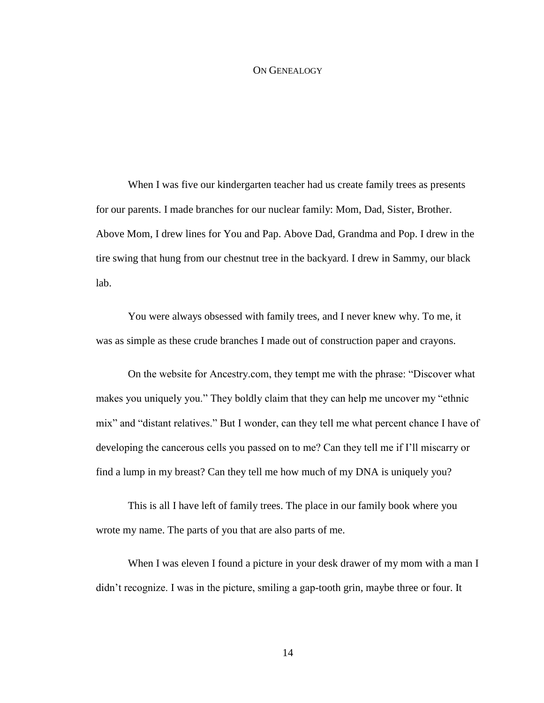#### ON GENEALOGY

When I was five our kindergarten teacher had us create family trees as presents for our parents. I made branches for our nuclear family: Mom, Dad, Sister, Brother. Above Mom, I drew lines for You and Pap. Above Dad, Grandma and Pop. I drew in the tire swing that hung from our chestnut tree in the backyard. I drew in Sammy, our black lab.

You were always obsessed with family trees, and I never knew why. To me, it was as simple as these crude branches I made out of construction paper and crayons.

On the website for Ancestry.com, they tempt me with the phrase: "Discover what makes you uniquely you." They boldly claim that they can help me uncover my "ethnic mix" and "distant relatives." But I wonder, can they tell me what percent chance I have of developing the cancerous cells you passed on to me? Can they tell me if I'll miscarry or find a lump in my breast? Can they tell me how much of my DNA is uniquely you?

This is all I have left of family trees. The place in our family book where you wrote my name. The parts of you that are also parts of me.

When I was eleven I found a picture in your desk drawer of my mom with a man I didn't recognize. I was in the picture, smiling a gap-tooth grin, maybe three or four. It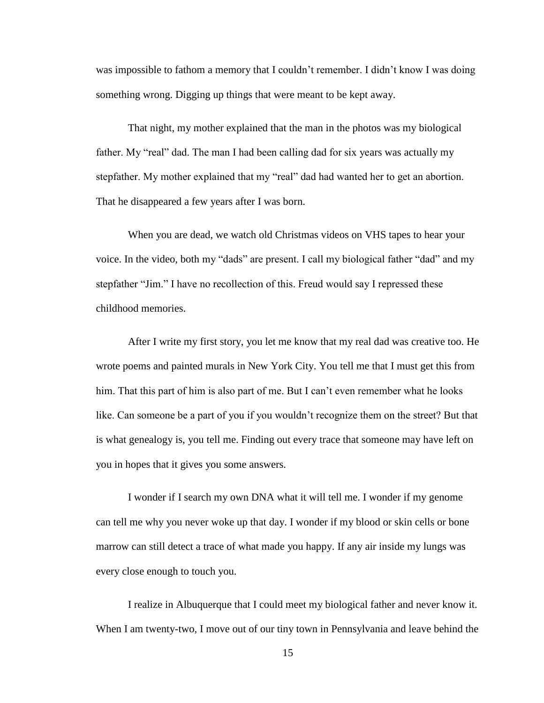was impossible to fathom a memory that I couldn't remember. I didn't know I was doing something wrong. Digging up things that were meant to be kept away.

That night, my mother explained that the man in the photos was my biological father. My "real" dad. The man I had been calling dad for six years was actually my stepfather. My mother explained that my "real" dad had wanted her to get an abortion. That he disappeared a few years after I was born.

When you are dead, we watch old Christmas videos on VHS tapes to hear your voice. In the video, both my "dads" are present. I call my biological father "dad" and my stepfather "Jim." I have no recollection of this. Freud would say I repressed these childhood memories.

After I write my first story, you let me know that my real dad was creative too. He wrote poems and painted murals in New York City. You tell me that I must get this from him. That this part of him is also part of me. But I can't even remember what he looks like. Can someone be a part of you if you wouldn't recognize them on the street? But that is what genealogy is, you tell me. Finding out every trace that someone may have left on you in hopes that it gives you some answers.

I wonder if I search my own DNA what it will tell me. I wonder if my genome can tell me why you never woke up that day. I wonder if my blood or skin cells or bone marrow can still detect a trace of what made you happy. If any air inside my lungs was every close enough to touch you.

I realize in Albuquerque that I could meet my biological father and never know it. When I am twenty-two, I move out of our tiny town in Pennsylvania and leave behind the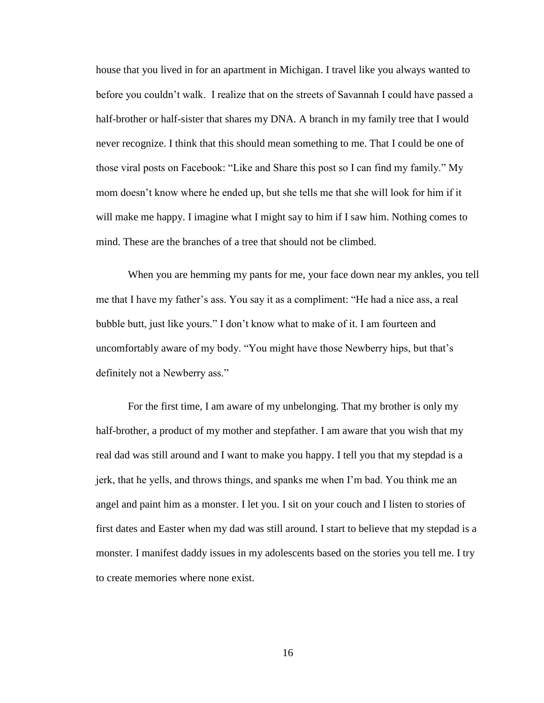house that you lived in for an apartment in Michigan. I travel like you always wanted to before you couldn't walk. I realize that on the streets of Savannah I could have passed a half-brother or half-sister that shares my DNA. A branch in my family tree that I would never recognize. I think that this should mean something to me. That I could be one of those viral posts on Facebook: "Like and Share this post so I can find my family." My mom doesn't know where he ended up, but she tells me that she will look for him if it will make me happy. I imagine what I might say to him if I saw him. Nothing comes to mind. These are the branches of a tree that should not be climbed.

When you are hemming my pants for me, your face down near my ankles, you tell me that I have my father's ass. You say it as a compliment: "He had a nice ass, a real bubble butt, just like yours." I don't know what to make of it. I am fourteen and uncomfortably aware of my body. "You might have those Newberry hips, but that's definitely not a Newberry ass."

For the first time, I am aware of my unbelonging. That my brother is only my half-brother, a product of my mother and stepfather. I am aware that you wish that my real dad was still around and I want to make you happy. I tell you that my stepdad is a jerk, that he yells, and throws things, and spanks me when I'm bad. You think me an angel and paint him as a monster. I let you. I sit on your couch and I listen to stories of first dates and Easter when my dad was still around. I start to believe that my stepdad is a monster. I manifest daddy issues in my adolescents based on the stories you tell me. I try to create memories where none exist.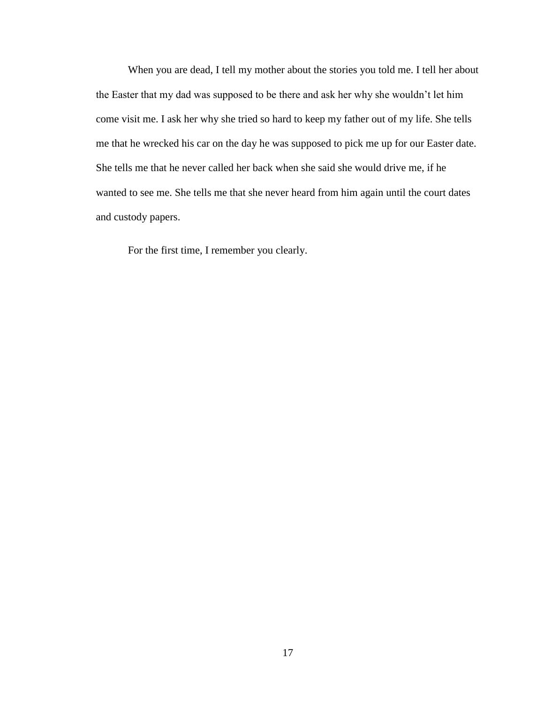When you are dead, I tell my mother about the stories you told me. I tell her about the Easter that my dad was supposed to be there and ask her why she wouldn't let him come visit me. I ask her why she tried so hard to keep my father out of my life. She tells me that he wrecked his car on the day he was supposed to pick me up for our Easter date. She tells me that he never called her back when she said she would drive me, if he wanted to see me. She tells me that she never heard from him again until the court dates and custody papers.

For the first time, I remember you clearly.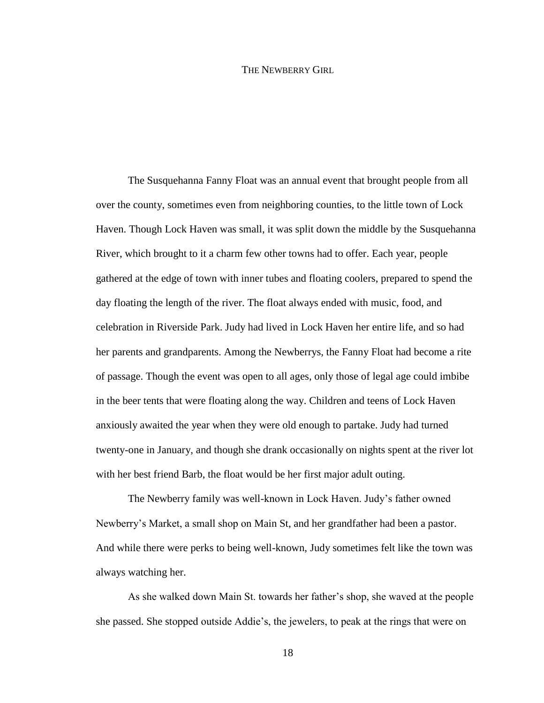#### THE NEWBERRY GIRL

The Susquehanna Fanny Float was an annual event that brought people from all over the county, sometimes even from neighboring counties, to the little town of Lock Haven. Though Lock Haven was small, it was split down the middle by the Susquehanna River, which brought to it a charm few other towns had to offer. Each year, people gathered at the edge of town with inner tubes and floating coolers, prepared to spend the day floating the length of the river. The float always ended with music, food, and celebration in Riverside Park. Judy had lived in Lock Haven her entire life, and so had her parents and grandparents. Among the Newberrys, the Fanny Float had become a rite of passage. Though the event was open to all ages, only those of legal age could imbibe in the beer tents that were floating along the way. Children and teens of Lock Haven anxiously awaited the year when they were old enough to partake. Judy had turned twenty-one in January, and though she drank occasionally on nights spent at the river lot with her best friend Barb, the float would be her first major adult outing.

The Newberry family was well-known in Lock Haven. Judy's father owned Newberry's Market, a small shop on Main St, and her grandfather had been a pastor. And while there were perks to being well-known, Judy sometimes felt like the town was always watching her.

As she walked down Main St. towards her father's shop, she waved at the people she passed. She stopped outside Addie's, the jewelers, to peak at the rings that were on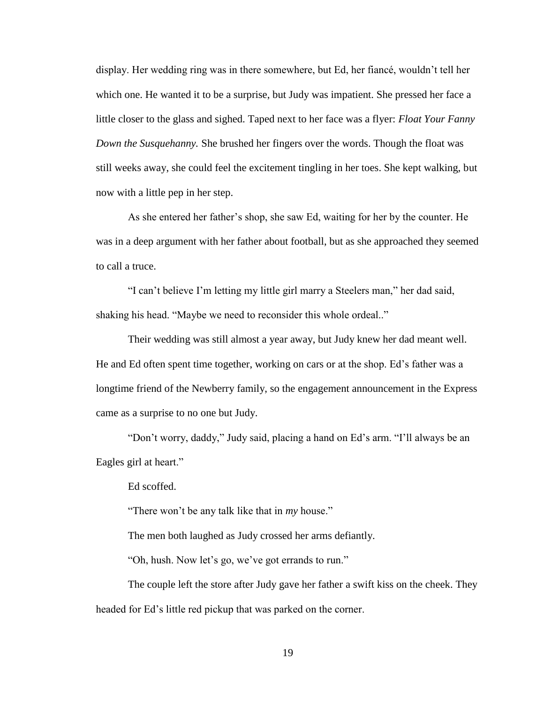display. Her wedding ring was in there somewhere, but Ed, her fiancé, wouldn't tell her which one. He wanted it to be a surprise, but Judy was impatient. She pressed her face a little closer to the glass and sighed. Taped next to her face was a flyer: *Float Your Fanny Down the Susquehanny.* She brushed her fingers over the words. Though the float was still weeks away, she could feel the excitement tingling in her toes. She kept walking, but now with a little pep in her step.

As she entered her father's shop, she saw Ed, waiting for her by the counter. He was in a deep argument with her father about football, but as she approached they seemed to call a truce.

"I can't believe I'm letting my little girl marry a Steelers man," her dad said, shaking his head. "Maybe we need to reconsider this whole ordeal.."

Their wedding was still almost a year away, but Judy knew her dad meant well. He and Ed often spent time together, working on cars or at the shop. Ed's father was a longtime friend of the Newberry family, so the engagement announcement in the Express came as a surprise to no one but Judy.

"Don't worry, daddy," Judy said, placing a hand on Ed's arm. "I'll always be an Eagles girl at heart."

Ed scoffed.

"There won't be any talk like that in *my* house."

The men both laughed as Judy crossed her arms defiantly.

"Oh, hush. Now let's go, we've got errands to run."

The couple left the store after Judy gave her father a swift kiss on the cheek. They headed for Ed's little red pickup that was parked on the corner.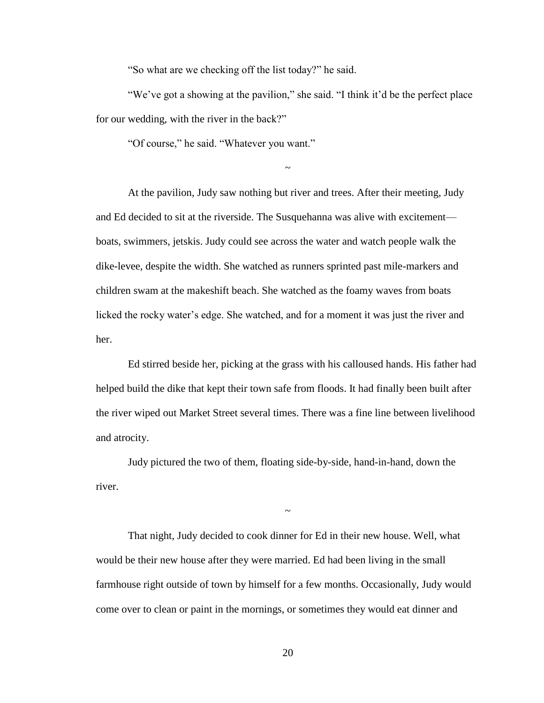"So what are we checking off the list today?" he said.

"We've got a showing at the pavilion," she said. "I think it'd be the perfect place for our wedding, with the river in the back?"

~

"Of course," he said. "Whatever you want."

At the pavilion, Judy saw nothing but river and trees. After their meeting, Judy and Ed decided to sit at the riverside. The Susquehanna was alive with excitement boats, swimmers, jetskis. Judy could see across the water and watch people walk the dike-levee, despite the width. She watched as runners sprinted past mile-markers and children swam at the makeshift beach. She watched as the foamy waves from boats licked the rocky water's edge. She watched, and for a moment it was just the river and her.

Ed stirred beside her, picking at the grass with his calloused hands. His father had helped build the dike that kept their town safe from floods. It had finally been built after the river wiped out Market Street several times. There was a fine line between livelihood and atrocity.

Judy pictured the two of them, floating side-by-side, hand-in-hand, down the river.

That night, Judy decided to cook dinner for Ed in their new house. Well, what would be their new house after they were married. Ed had been living in the small farmhouse right outside of town by himself for a few months. Occasionally, Judy would come over to clean or paint in the mornings, or sometimes they would eat dinner and

~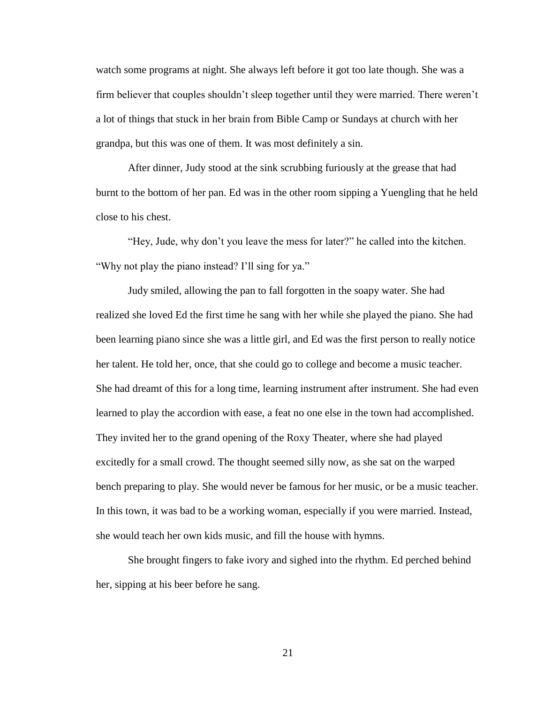watch some programs at night. She always left before it got too late though. She was a firm believer that couples shouldn't sleep together until they were married. There weren't a lot of things that stuck in her brain from Bible Camp or Sundays at church with her grandpa, but this was one of them. It was most definitely a sin.

After dinner, Judy stood at the sink scrubbing furiously at the grease that had burnt to the bottom of her pan. Ed was in the other room sipping a Yuengling that he held close to his chest.

"Hey, Jude, why don't you leave the mess for later?" he called into the kitchen. "Why not play the piano instead? I'll sing for ya."

Judy smiled, allowing the pan to fall forgotten in the soapy water. She had realized she loved Ed the first time he sang with her while she played the piano. She had been learning piano since she was a little girl, and Ed was the first person to really notice her talent. He told her, once, that she could go to college and become a music teacher. She had dreamt of this for a long time, learning instrument after instrument. She had even learned to play the accordion with ease, a feat no one else in the town had accomplished. They invited her to the grand opening of the Roxy Theater, where she had played excitedly for a small crowd. The thought seemed silly now, as she sat on the warped bench preparing to play. She would never be famous for her music, or be a music teacher. In this town, it was bad to be a working woman, especially if you were married. Instead, she would teach her own kids music, and fill the house with hymns.

She brought fingers to fake ivory and sighed into the rhythm. Ed perched behind her, sipping at his beer before he sang.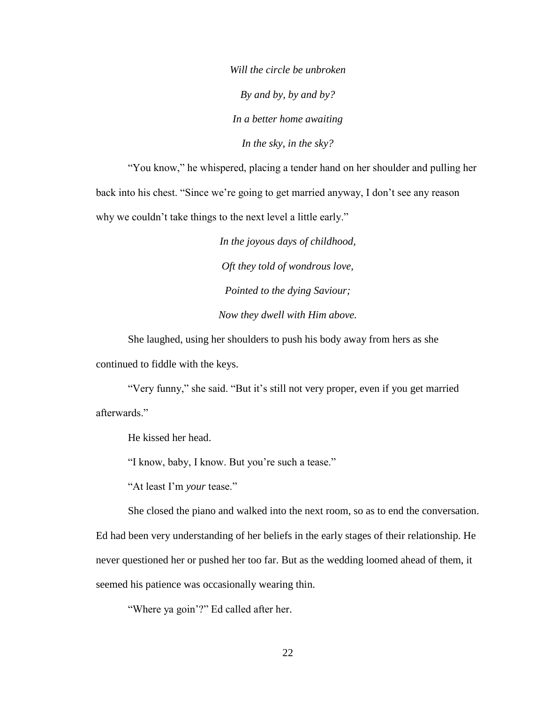*Will the circle be unbroken By and by, by and by? In a better home awaiting In the sky, in the sky?*

"You know," he whispered, placing a tender hand on her shoulder and pulling her back into his chest. "Since we're going to get married anyway, I don't see any reason why we couldn't take things to the next level a little early."

> *In the joyous days of childhood, Oft they told of wondrous love, Pointed to the dying Saviour; Now they dwell with Him above.*

She laughed, using her shoulders to push his body away from hers as she continued to fiddle with the keys.

"Very funny," she said. "But it's still not very proper, even if you get married afterwards."

He kissed her head.

"I know, baby, I know. But you're such a tease."

"At least I'm *your* tease."

She closed the piano and walked into the next room, so as to end the conversation.

Ed had been very understanding of her beliefs in the early stages of their relationship. He never questioned her or pushed her too far. But as the wedding loomed ahead of them, it seemed his patience was occasionally wearing thin.

"Where ya goin'?" Ed called after her.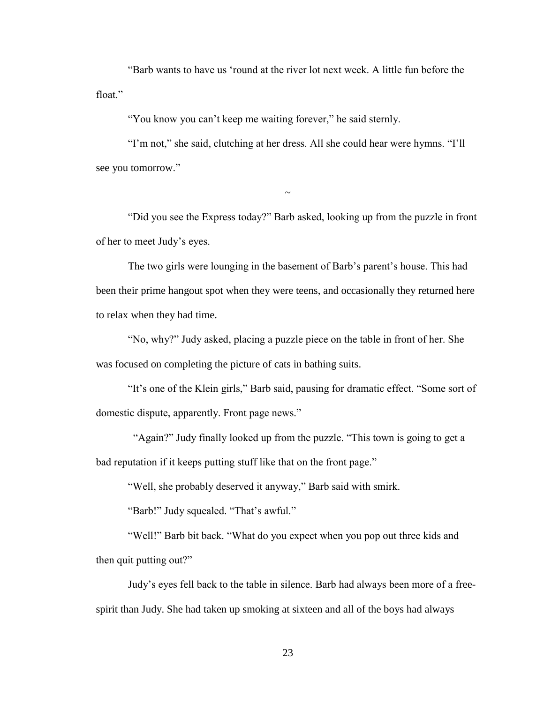"Barb wants to have us 'round at the river lot next week. A little fun before the float"

"You know you can't keep me waiting forever," he said sternly.

"I'm not," she said, clutching at her dress. All she could hear were hymns. "I'll see you tomorrow."

"Did you see the Express today?" Barb asked, looking up from the puzzle in front of her to meet Judy's eyes.

 $\sim$ 

The two girls were lounging in the basement of Barb's parent's house. This had been their prime hangout spot when they were teens, and occasionally they returned here to relax when they had time.

"No, why?" Judy asked, placing a puzzle piece on the table in front of her. She was focused on completing the picture of cats in bathing suits.

"It's one of the Klein girls," Barb said, pausing for dramatic effect. "Some sort of domestic dispute, apparently. Front page news."

 "Again?" Judy finally looked up from the puzzle. "This town is going to get a bad reputation if it keeps putting stuff like that on the front page."

"Well, she probably deserved it anyway," Barb said with smirk.

"Barb!" Judy squealed. "That's awful."

"Well!" Barb bit back. "What do you expect when you pop out three kids and then quit putting out?"

Judy's eyes fell back to the table in silence. Barb had always been more of a freespirit than Judy. She had taken up smoking at sixteen and all of the boys had always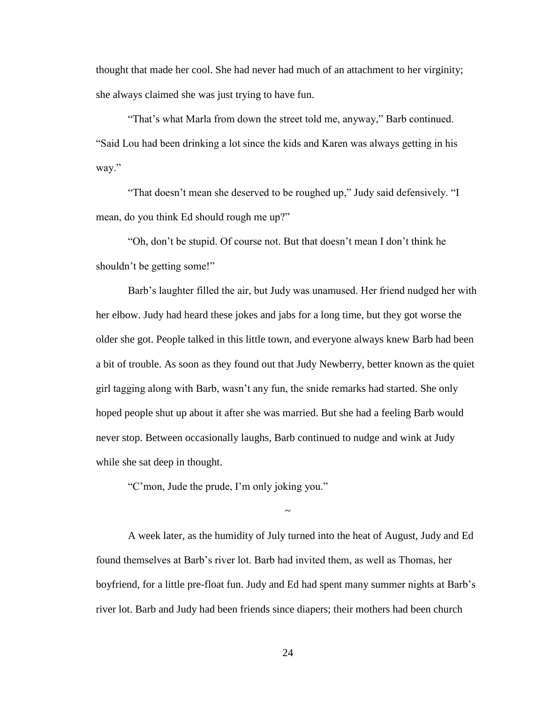thought that made her cool. She had never had much of an attachment to her virginity; she always claimed she was just trying to have fun.

"That's what Marla from down the street told me, anyway," Barb continued. "Said Lou had been drinking a lot since the kids and Karen was always getting in his way."

"That doesn't mean she deserved to be roughed up," Judy said defensively. "I mean, do you think Ed should rough me up?"

"Oh, don't be stupid. Of course not. But that doesn't mean I don't think he shouldn't be getting some!"

Barb's laughter filled the air, but Judy was unamused. Her friend nudged her with her elbow. Judy had heard these jokes and jabs for a long time, but they got worse the older she got. People talked in this little town, and everyone always knew Barb had been a bit of trouble. As soon as they found out that Judy Newberry, better known as the quiet girl tagging along with Barb, wasn't any fun, the snide remarks had started. She only hoped people shut up about it after she was married. But she had a feeling Barb would never stop. Between occasionally laughs, Barb continued to nudge and wink at Judy while she sat deep in thought.

"C'mon, Jude the prude, I'm only joking you."

A week later, as the humidity of July turned into the heat of August, Judy and Ed found themselves at Barb's river lot. Barb had invited them, as well as Thomas, her boyfriend, for a little pre-float fun. Judy and Ed had spent many summer nights at Barb's river lot. Barb and Judy had been friends since diapers; their mothers had been church

 $\sim$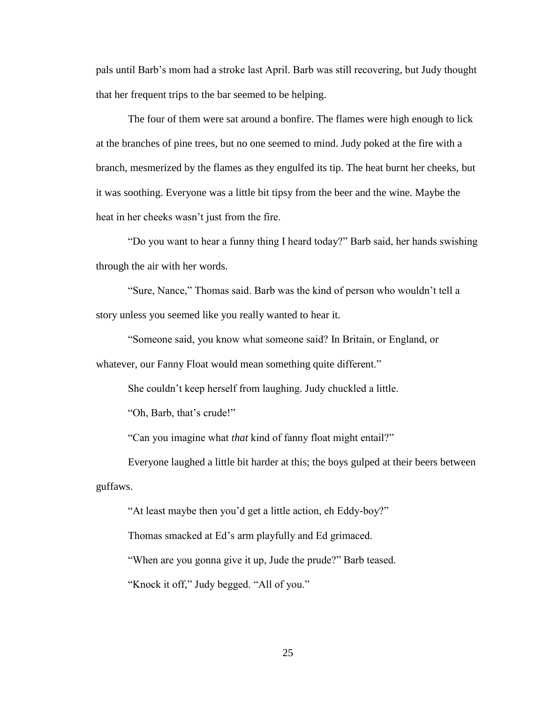pals until Barb's mom had a stroke last April. Barb was still recovering, but Judy thought that her frequent trips to the bar seemed to be helping.

The four of them were sat around a bonfire. The flames were high enough to lick at the branches of pine trees, but no one seemed to mind. Judy poked at the fire with a branch, mesmerized by the flames as they engulfed its tip. The heat burnt her cheeks, but it was soothing. Everyone was a little bit tipsy from the beer and the wine. Maybe the heat in her cheeks wasn't just from the fire.

"Do you want to hear a funny thing I heard today?" Barb said, her hands swishing through the air with her words.

"Sure, Nance," Thomas said. Barb was the kind of person who wouldn't tell a story unless you seemed like you really wanted to hear it.

"Someone said, you know what someone said? In Britain, or England, or

whatever, our Fanny Float would mean something quite different."

She couldn't keep herself from laughing. Judy chuckled a little.

"Oh, Barb, that's crude!"

"Can you imagine what *that* kind of fanny float might entail?"

Everyone laughed a little bit harder at this; the boys gulped at their beers between guffaws.

"At least maybe then you'd get a little action, eh Eddy-boy?"

Thomas smacked at Ed's arm playfully and Ed grimaced.

"When are you gonna give it up, Jude the prude?" Barb teased.

"Knock it off," Judy begged. "All of you."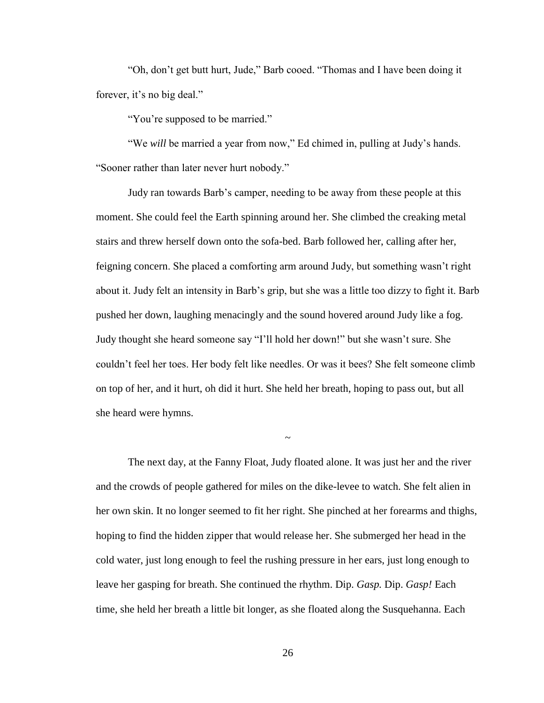"Oh, don't get butt hurt, Jude," Barb cooed. "Thomas and I have been doing it forever, it's no big deal."

"You're supposed to be married."

"We *will* be married a year from now," Ed chimed in, pulling at Judy's hands. "Sooner rather than later never hurt nobody."

Judy ran towards Barb's camper, needing to be away from these people at this moment. She could feel the Earth spinning around her. She climbed the creaking metal stairs and threw herself down onto the sofa-bed. Barb followed her, calling after her, feigning concern. She placed a comforting arm around Judy, but something wasn't right about it. Judy felt an intensity in Barb's grip, but she was a little too dizzy to fight it. Barb pushed her down, laughing menacingly and the sound hovered around Judy like a fog. Judy thought she heard someone say "I'll hold her down!" but she wasn't sure. She couldn't feel her toes. Her body felt like needles. Or was it bees? She felt someone climb on top of her, and it hurt, oh did it hurt. She held her breath, hoping to pass out, but all she heard were hymns.

The next day, at the Fanny Float, Judy floated alone. It was just her and the river and the crowds of people gathered for miles on the dike-levee to watch. She felt alien in her own skin. It no longer seemed to fit her right. She pinched at her forearms and thighs, hoping to find the hidden zipper that would release her. She submerged her head in the cold water, just long enough to feel the rushing pressure in her ears, just long enough to leave her gasping for breath. She continued the rhythm. Dip. *Gasp.* Dip. *Gasp!* Each time, she held her breath a little bit longer, as she floated along the Susquehanna. Each

~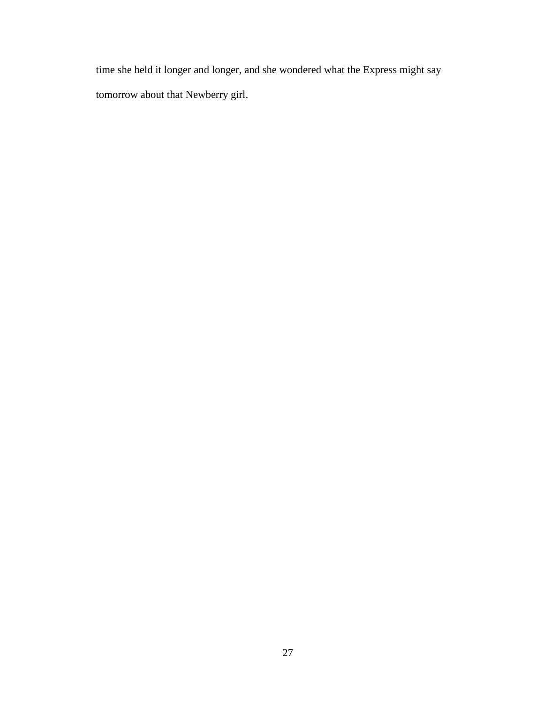time she held it longer and longer, and she wondered what the Express might say tomorrow about that Newberry girl.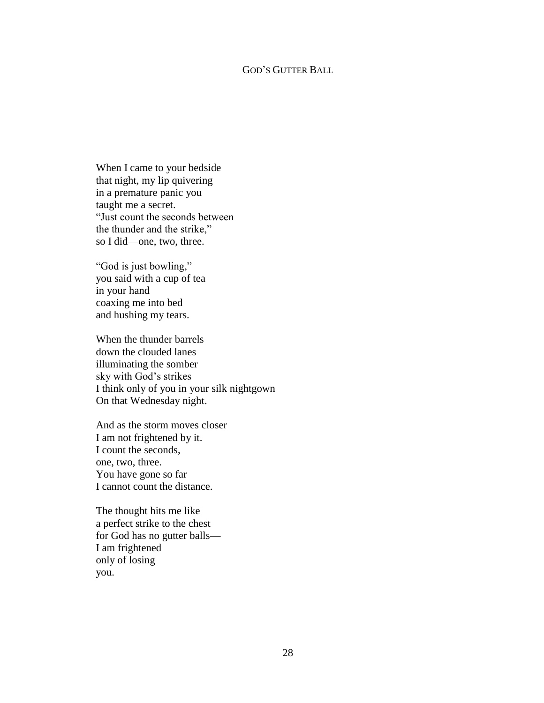#### GOD'S GUTTER BALL

When I came to your bedside that night, my lip quivering in a premature panic you taught me a secret. "Just count the seconds between the thunder and the strike," so I did—one, two, three.

"God is just bowling," you said with a cup of tea in your hand coaxing me into bed and hushing my tears.

When the thunder barrels down the clouded lanes illuminating the somber sky with God's strikes I think only of you in your silk nightgown On that Wednesday night.

And as the storm moves closer I am not frightened by it. I count the seconds, one, two, three. You have gone so far I cannot count the distance.

The thought hits me like a perfect strike to the chest for God has no gutter balls— I am frightened only of losing you.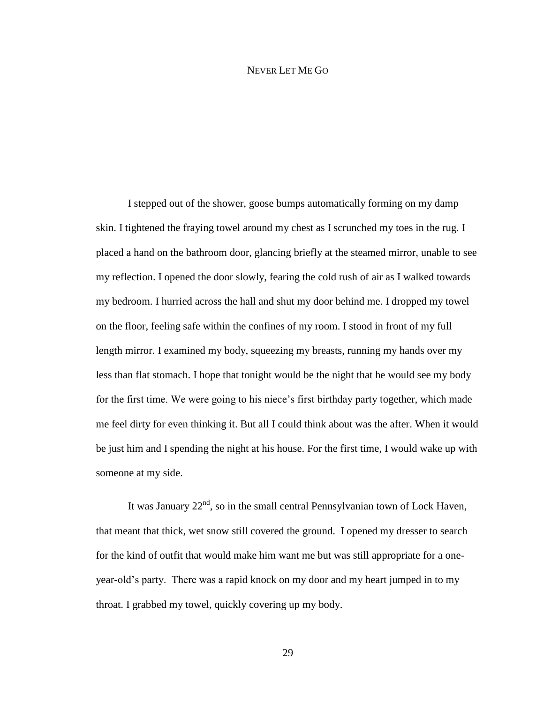#### NEVER LET ME GO

I stepped out of the shower, goose bumps automatically forming on my damp skin. I tightened the fraying towel around my chest as I scrunched my toes in the rug. I placed a hand on the bathroom door, glancing briefly at the steamed mirror, unable to see my reflection. I opened the door slowly, fearing the cold rush of air as I walked towards my bedroom. I hurried across the hall and shut my door behind me. I dropped my towel on the floor, feeling safe within the confines of my room. I stood in front of my full length mirror. I examined my body, squeezing my breasts, running my hands over my less than flat stomach. I hope that tonight would be the night that he would see my body for the first time. We were going to his niece's first birthday party together, which made me feel dirty for even thinking it. But all I could think about was the after. When it would be just him and I spending the night at his house. For the first time, I would wake up with someone at my side.

It was January  $22<sup>nd</sup>$ , so in the small central Pennsylvanian town of Lock Haven, that meant that thick, wet snow still covered the ground. I opened my dresser to search for the kind of outfit that would make him want me but was still appropriate for a oneyear-old's party. There was a rapid knock on my door and my heart jumped in to my throat. I grabbed my towel, quickly covering up my body.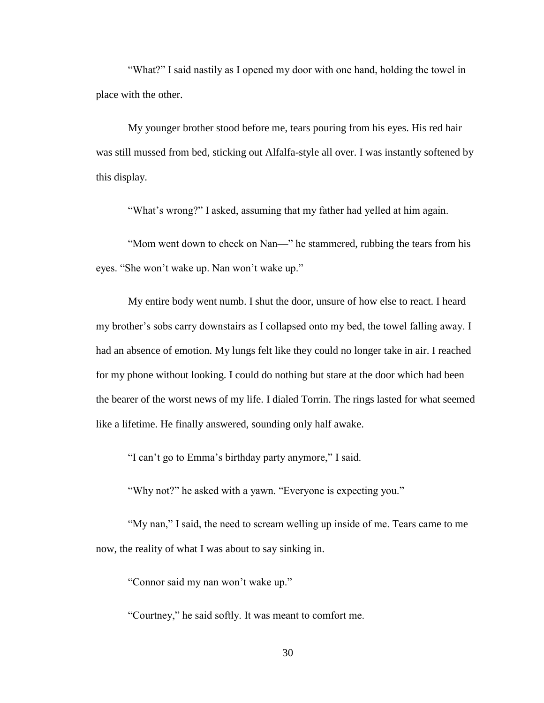"What?" I said nastily as I opened my door with one hand, holding the towel in place with the other.

My younger brother stood before me, tears pouring from his eyes. His red hair was still mussed from bed, sticking out Alfalfa-style all over. I was instantly softened by this display.

"What's wrong?" I asked, assuming that my father had yelled at him again.

"Mom went down to check on Nan—" he stammered, rubbing the tears from his eyes. "She won't wake up. Nan won't wake up."

My entire body went numb. I shut the door, unsure of how else to react. I heard my brother's sobs carry downstairs as I collapsed onto my bed, the towel falling away. I had an absence of emotion. My lungs felt like they could no longer take in air. I reached for my phone without looking. I could do nothing but stare at the door which had been the bearer of the worst news of my life. I dialed Torrin. The rings lasted for what seemed like a lifetime. He finally answered, sounding only half awake.

"I can't go to Emma's birthday party anymore," I said.

"Why not?" he asked with a yawn. "Everyone is expecting you."

"My nan," I said, the need to scream welling up inside of me. Tears came to me now, the reality of what I was about to say sinking in.

"Connor said my nan won't wake up."

"Courtney," he said softly. It was meant to comfort me.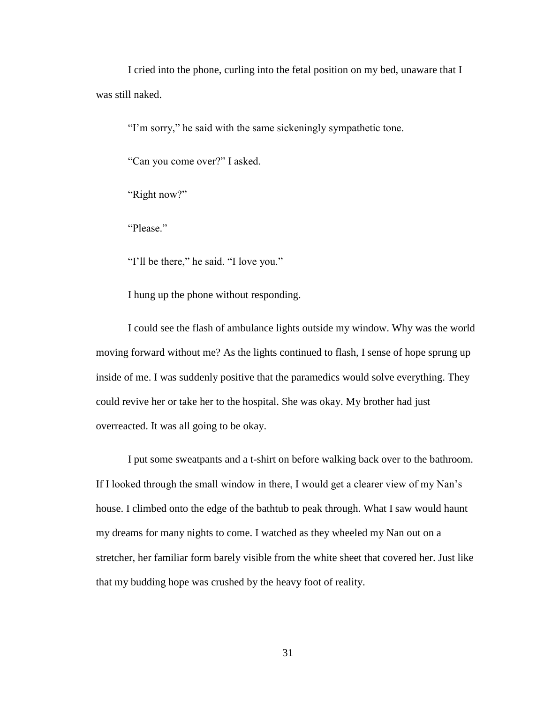I cried into the phone, curling into the fetal position on my bed, unaware that I was still naked.

"I'm sorry," he said with the same sickeningly sympathetic tone.

"Can you come over?" I asked.

"Right now?"

"Please"

"I'll be there," he said. "I love you."

I hung up the phone without responding.

I could see the flash of ambulance lights outside my window. Why was the world moving forward without me? As the lights continued to flash, I sense of hope sprung up inside of me. I was suddenly positive that the paramedics would solve everything. They could revive her or take her to the hospital. She was okay. My brother had just overreacted. It was all going to be okay.

I put some sweatpants and a t-shirt on before walking back over to the bathroom. If I looked through the small window in there, I would get a clearer view of my Nan's house. I climbed onto the edge of the bathtub to peak through. What I saw would haunt my dreams for many nights to come. I watched as they wheeled my Nan out on a stretcher, her familiar form barely visible from the white sheet that covered her. Just like that my budding hope was crushed by the heavy foot of reality.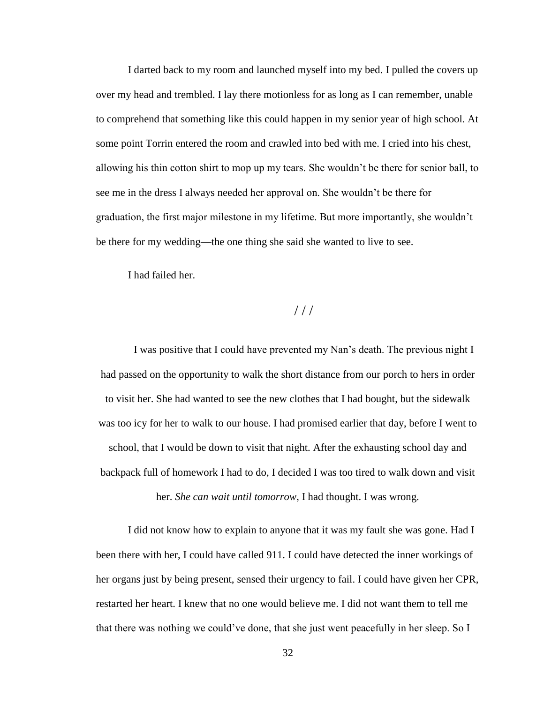I darted back to my room and launched myself into my bed. I pulled the covers up over my head and trembled. I lay there motionless for as long as I can remember, unable to comprehend that something like this could happen in my senior year of high school. At some point Torrin entered the room and crawled into bed with me. I cried into his chest, allowing his thin cotton shirt to mop up my tears. She wouldn't be there for senior ball, to see me in the dress I always needed her approval on. She wouldn't be there for graduation, the first major milestone in my lifetime. But more importantly, she wouldn't be there for my wedding—the one thing she said she wanted to live to see.

I had failed her.

 $///$ 

I was positive that I could have prevented my Nan's death. The previous night I had passed on the opportunity to walk the short distance from our porch to hers in order to visit her. She had wanted to see the new clothes that I had bought, but the sidewalk was too icy for her to walk to our house. I had promised earlier that day, before I went to school, that I would be down to visit that night. After the exhausting school day and backpack full of homework I had to do, I decided I was too tired to walk down and visit

her. *She can wait until tomorrow*, I had thought. I was wrong.

I did not know how to explain to anyone that it was my fault she was gone. Had I been there with her, I could have called 911. I could have detected the inner workings of her organs just by being present, sensed their urgency to fail. I could have given her CPR, restarted her heart. I knew that no one would believe me. I did not want them to tell me that there was nothing we could've done, that she just went peacefully in her sleep. So I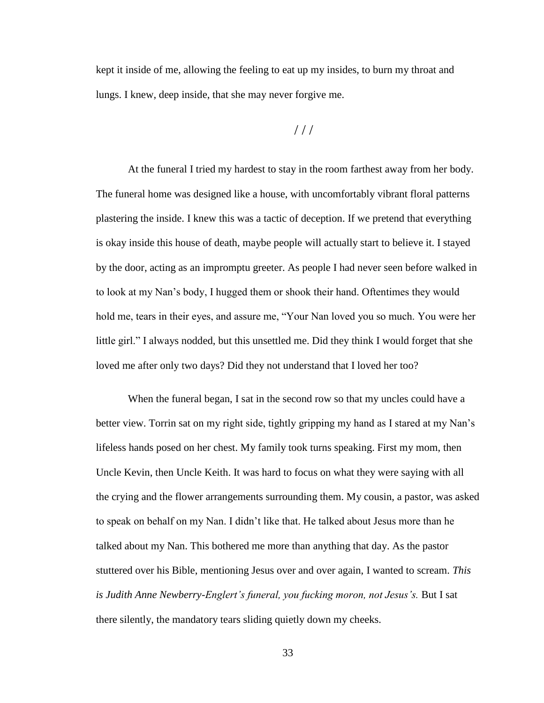kept it inside of me, allowing the feeling to eat up my insides, to burn my throat and lungs. I knew, deep inside, that she may never forgive me.

# / / /

At the funeral I tried my hardest to stay in the room farthest away from her body. The funeral home was designed like a house, with uncomfortably vibrant floral patterns plastering the inside. I knew this was a tactic of deception. If we pretend that everything is okay inside this house of death, maybe people will actually start to believe it. I stayed by the door, acting as an impromptu greeter. As people I had never seen before walked in to look at my Nan's body, I hugged them or shook their hand. Oftentimes they would hold me, tears in their eyes, and assure me, "Your Nan loved you so much. You were her little girl." I always nodded, but this unsettled me. Did they think I would forget that she loved me after only two days? Did they not understand that I loved her too?

When the funeral began, I sat in the second row so that my uncles could have a better view. Torrin sat on my right side, tightly gripping my hand as I stared at my Nan's lifeless hands posed on her chest. My family took turns speaking. First my mom, then Uncle Kevin, then Uncle Keith. It was hard to focus on what they were saying with all the crying and the flower arrangements surrounding them. My cousin, a pastor, was asked to speak on behalf on my Nan. I didn't like that. He talked about Jesus more than he talked about my Nan. This bothered me more than anything that day. As the pastor stuttered over his Bible, mentioning Jesus over and over again, I wanted to scream. *This*  is Judith Anne Newberry-Englert's funeral, you fucking moron, not Jesus's. But I sat there silently, the mandatory tears sliding quietly down my cheeks.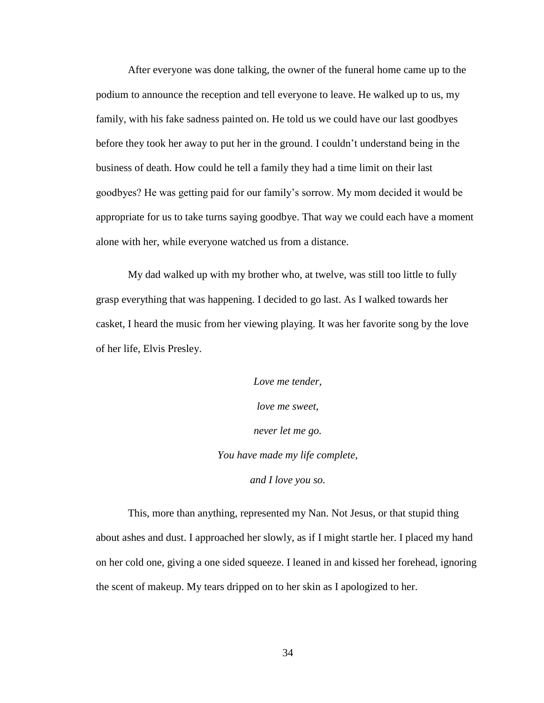After everyone was done talking, the owner of the funeral home came up to the podium to announce the reception and tell everyone to leave. He walked up to us, my family, with his fake sadness painted on. He told us we could have our last goodbyes before they took her away to put her in the ground. I couldn't understand being in the business of death. How could he tell a family they had a time limit on their last goodbyes? He was getting paid for our family's sorrow. My mom decided it would be appropriate for us to take turns saying goodbye. That way we could each have a moment alone with her, while everyone watched us from a distance.

My dad walked up with my brother who, at twelve, was still too little to fully grasp everything that was happening. I decided to go last. As I walked towards her casket, I heard the music from her viewing playing. It was her favorite song by the love of her life, Elvis Presley.

> *Love me tender, love me sweet, never let me go. You have made my life complete, and I love you so.*

This, more than anything, represented my Nan. Not Jesus, or that stupid thing about ashes and dust. I approached her slowly, as if I might startle her. I placed my hand on her cold one, giving a one sided squeeze. I leaned in and kissed her forehead, ignoring the scent of makeup. My tears dripped on to her skin as I apologized to her.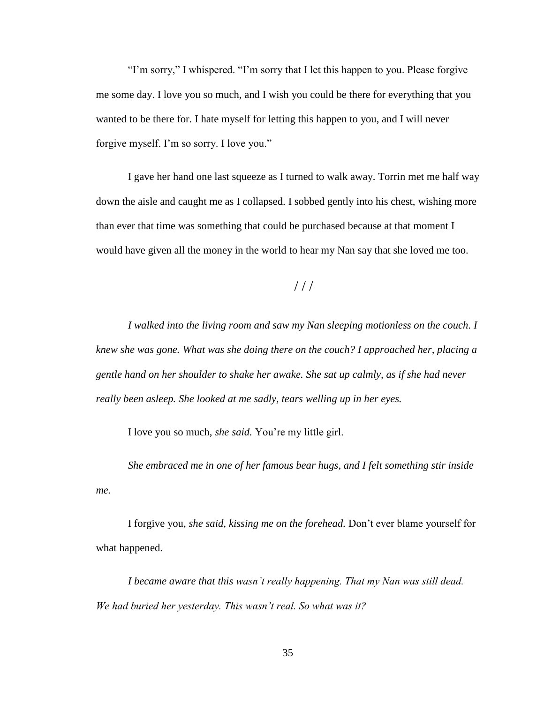"I'm sorry," I whispered. "I'm sorry that I let this happen to you. Please forgive me some day. I love you so much, and I wish you could be there for everything that you wanted to be there for. I hate myself for letting this happen to you, and I will never forgive myself. I'm so sorry. I love you."

I gave her hand one last squeeze as I turned to walk away. Torrin met me half way down the aisle and caught me as I collapsed. I sobbed gently into his chest, wishing more than ever that time was something that could be purchased because at that moment I would have given all the money in the world to hear my Nan say that she loved me too.

# $//$

*I walked into the living room and saw my Nan sleeping motionless on the couch. I knew she was gone. What was she doing there on the couch? I approached her, placing a gentle hand on her shoulder to shake her awake. She sat up calmly, as if she had never really been asleep. She looked at me sadly, tears welling up in her eyes.*

I love you so much, *she said.* You're my little girl.

*She embraced me in one of her famous bear hugs, and I felt something stir inside me.*

I forgive you, *she said, kissing me on the forehead.* Don't ever blame yourself for what happened.

*I became aware that this wasn't really happening. That my Nan was still dead. We had buried her yesterday. This wasn't real. So what was it?*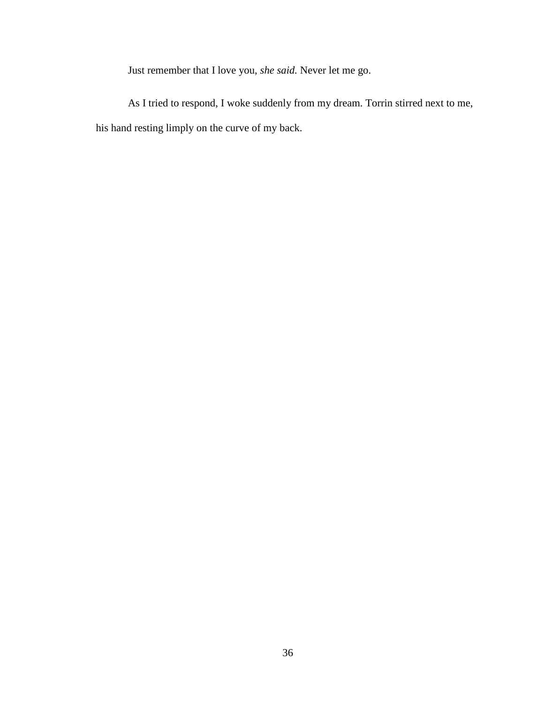Just remember that I love you, *she said.* Never let me go.

As I tried to respond, I woke suddenly from my dream. Torrin stirred next to me, his hand resting limply on the curve of my back.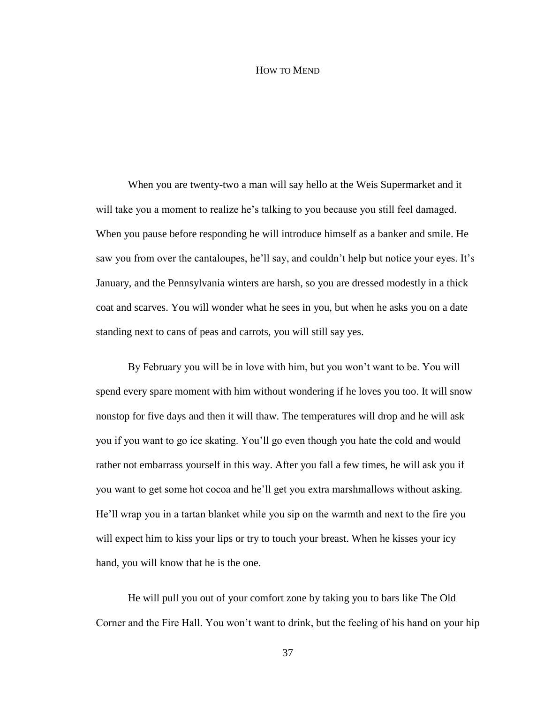#### HOW TO MEND

When you are twenty-two a man will say hello at the Weis Supermarket and it will take you a moment to realize he's talking to you because you still feel damaged. When you pause before responding he will introduce himself as a banker and smile. He saw you from over the cantaloupes, he'll say, and couldn't help but notice your eyes. It's January, and the Pennsylvania winters are harsh, so you are dressed modestly in a thick coat and scarves. You will wonder what he sees in you, but when he asks you on a date standing next to cans of peas and carrots, you will still say yes.

By February you will be in love with him, but you won't want to be. You will spend every spare moment with him without wondering if he loves you too. It will snow nonstop for five days and then it will thaw. The temperatures will drop and he will ask you if you want to go ice skating. You'll go even though you hate the cold and would rather not embarrass yourself in this way. After you fall a few times, he will ask you if you want to get some hot cocoa and he'll get you extra marshmallows without asking. He'll wrap you in a tartan blanket while you sip on the warmth and next to the fire you will expect him to kiss your lips or try to touch your breast. When he kisses your icy hand, you will know that he is the one.

He will pull you out of your comfort zone by taking you to bars like The Old Corner and the Fire Hall. You won't want to drink, but the feeling of his hand on your hip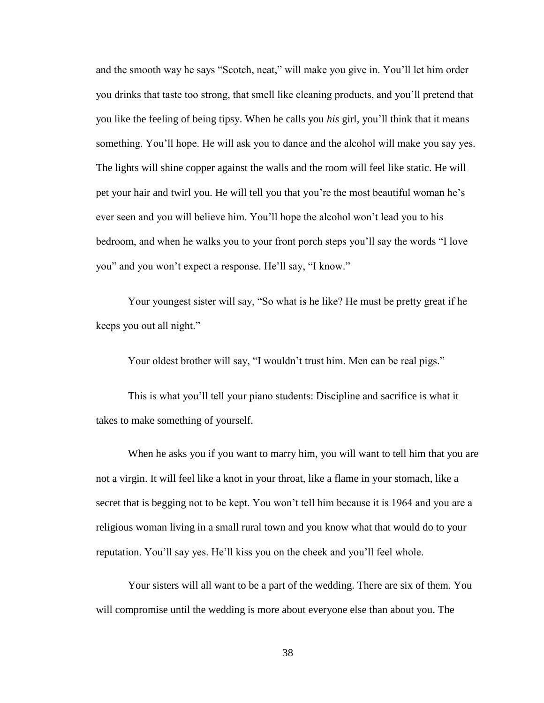and the smooth way he says "Scotch, neat," will make you give in. You'll let him order you drinks that taste too strong, that smell like cleaning products, and you'll pretend that you like the feeling of being tipsy. When he calls you *his* girl, you'll think that it means something. You'll hope. He will ask you to dance and the alcohol will make you say yes. The lights will shine copper against the walls and the room will feel like static. He will pet your hair and twirl you. He will tell you that you're the most beautiful woman he's ever seen and you will believe him. You'll hope the alcohol won't lead you to his bedroom, and when he walks you to your front porch steps you'll say the words "I love you" and you won't expect a response. He'll say, "I know."

Your youngest sister will say, "So what is he like? He must be pretty great if he keeps you out all night."

Your oldest brother will say, "I wouldn't trust him. Men can be real pigs."

This is what you'll tell your piano students: Discipline and sacrifice is what it takes to make something of yourself.

When he asks you if you want to marry him, you will want to tell him that you are not a virgin. It will feel like a knot in your throat, like a flame in your stomach, like a secret that is begging not to be kept. You won't tell him because it is 1964 and you are a religious woman living in a small rural town and you know what that would do to your reputation. You'll say yes. He'll kiss you on the cheek and you'll feel whole.

Your sisters will all want to be a part of the wedding. There are six of them. You will compromise until the wedding is more about everyone else than about you. The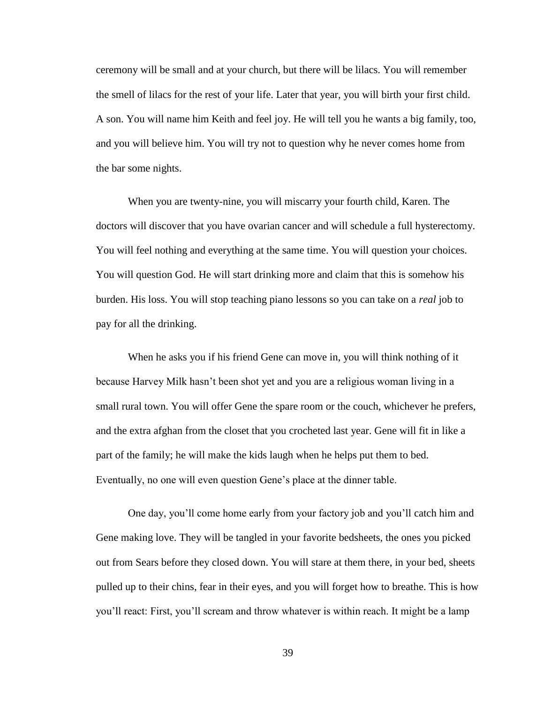ceremony will be small and at your church, but there will be lilacs. You will remember the smell of lilacs for the rest of your life. Later that year, you will birth your first child. A son. You will name him Keith and feel joy. He will tell you he wants a big family, too, and you will believe him. You will try not to question why he never comes home from the bar some nights.

When you are twenty-nine, you will miscarry your fourth child, Karen. The doctors will discover that you have ovarian cancer and will schedule a full hysterectomy. You will feel nothing and everything at the same time. You will question your choices. You will question God. He will start drinking more and claim that this is somehow his burden. His loss. You will stop teaching piano lessons so you can take on a *real* job to pay for all the drinking.

When he asks you if his friend Gene can move in, you will think nothing of it because Harvey Milk hasn't been shot yet and you are a religious woman living in a small rural town. You will offer Gene the spare room or the couch, whichever he prefers, and the extra afghan from the closet that you crocheted last year. Gene will fit in like a part of the family; he will make the kids laugh when he helps put them to bed. Eventually, no one will even question Gene's place at the dinner table.

One day, you'll come home early from your factory job and you'll catch him and Gene making love. They will be tangled in your favorite bedsheets, the ones you picked out from Sears before they closed down. You will stare at them there, in your bed, sheets pulled up to their chins, fear in their eyes, and you will forget how to breathe. This is how you'll react: First, you'll scream and throw whatever is within reach. It might be a lamp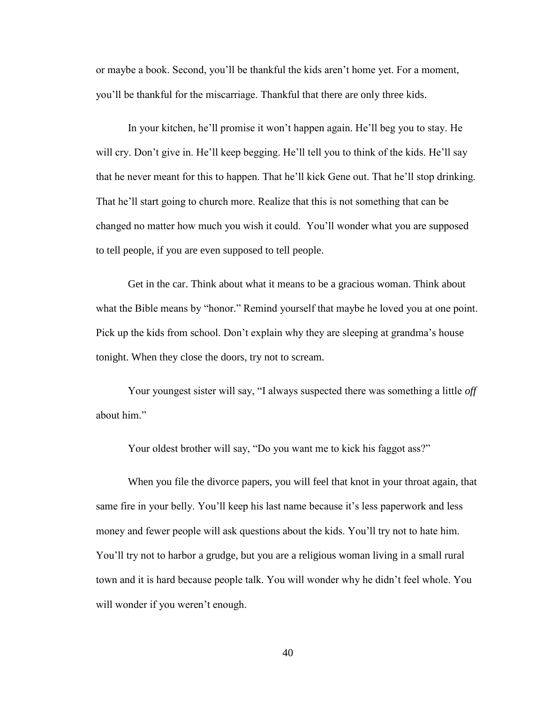or maybe a book. Second, you'll be thankful the kids aren't home yet. For a moment, you'll be thankful for the miscarriage. Thankful that there are only three kids.

In your kitchen, he'll promise it won't happen again. He'll beg you to stay. He will cry. Don't give in. He'll keep begging. He'll tell you to think of the kids. He'll say that he never meant for this to happen. That he'll kick Gene out. That he'll stop drinking. That he'll start going to church more. Realize that this is not something that can be changed no matter how much you wish it could. You'll wonder what you are supposed to tell people, if you are even supposed to tell people.

Get in the car. Think about what it means to be a gracious woman. Think about what the Bible means by "honor." Remind yourself that maybe he loved you at one point. Pick up the kids from school. Don't explain why they are sleeping at grandma's house tonight. When they close the doors, try not to scream.

Your youngest sister will say, "I always suspected there was something a little *off*  about him."

Your oldest brother will say, "Do you want me to kick his faggot ass?"

When you file the divorce papers, you will feel that knot in your throat again, that same fire in your belly. You'll keep his last name because it's less paperwork and less money and fewer people will ask questions about the kids. You'll try not to hate him. You'll try not to harbor a grudge, but you are a religious woman living in a small rural town and it is hard because people talk. You will wonder why he didn't feel whole. You will wonder if you weren't enough.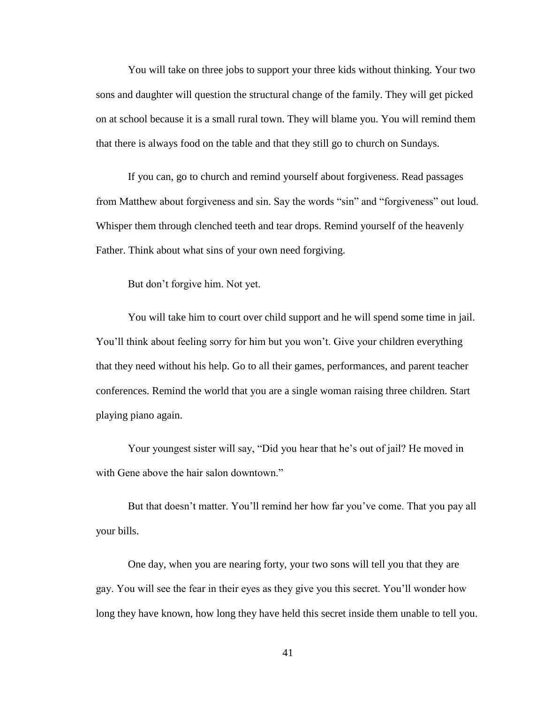You will take on three jobs to support your three kids without thinking. Your two sons and daughter will question the structural change of the family. They will get picked on at school because it is a small rural town. They will blame you. You will remind them that there is always food on the table and that they still go to church on Sundays.

If you can, go to church and remind yourself about forgiveness. Read passages from Matthew about forgiveness and sin. Say the words "sin" and "forgiveness" out loud. Whisper them through clenched teeth and tear drops. Remind yourself of the heavenly Father. Think about what sins of your own need forgiving.

But don't forgive him. Not yet.

You will take him to court over child support and he will spend some time in jail. You'll think about feeling sorry for him but you won't. Give your children everything that they need without his help. Go to all their games, performances, and parent teacher conferences. Remind the world that you are a single woman raising three children. Start playing piano again.

Your youngest sister will say, "Did you hear that he's out of jail? He moved in with Gene above the hair salon downtown."

But that doesn't matter. You'll remind her how far you've come. That you pay all your bills.

One day, when you are nearing forty, your two sons will tell you that they are gay. You will see the fear in their eyes as they give you this secret. You'll wonder how long they have known, how long they have held this secret inside them unable to tell you.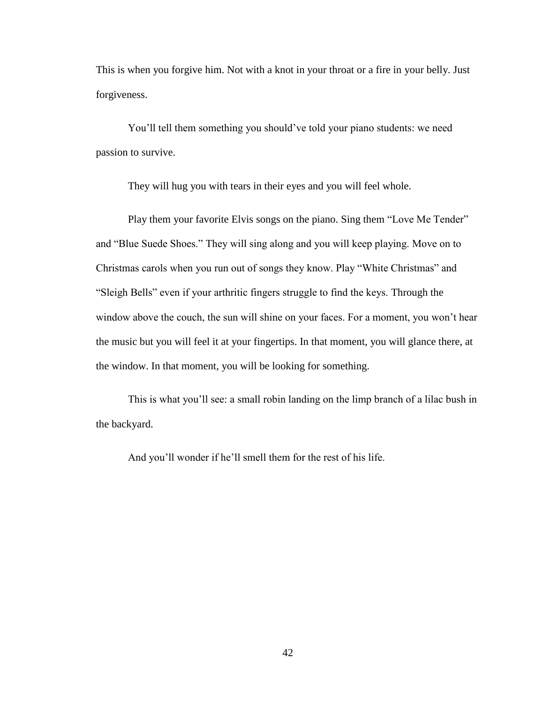This is when you forgive him. Not with a knot in your throat or a fire in your belly. Just forgiveness.

You'll tell them something you should've told your piano students: we need passion to survive.

They will hug you with tears in their eyes and you will feel whole.

Play them your favorite Elvis songs on the piano. Sing them "Love Me Tender" and "Blue Suede Shoes." They will sing along and you will keep playing. Move on to Christmas carols when you run out of songs they know. Play "White Christmas" and "Sleigh Bells" even if your arthritic fingers struggle to find the keys. Through the window above the couch, the sun will shine on your faces. For a moment, you won't hear the music but you will feel it at your fingertips. In that moment, you will glance there, at the window. In that moment, you will be looking for something.

This is what you'll see: a small robin landing on the limp branch of a lilac bush in the backyard.

And you'll wonder if he'll smell them for the rest of his life.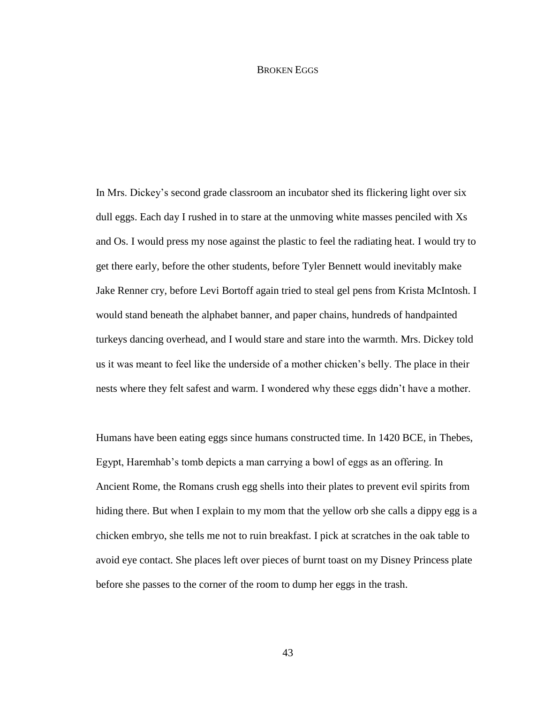#### BROKEN EGGS

In Mrs. Dickey's second grade classroom an incubator shed its flickering light over six dull eggs. Each day I rushed in to stare at the unmoving white masses penciled with Xs and Os. I would press my nose against the plastic to feel the radiating heat. I would try to get there early, before the other students, before Tyler Bennett would inevitably make Jake Renner cry, before Levi Bortoff again tried to steal gel pens from Krista McIntosh. I would stand beneath the alphabet banner, and paper chains, hundreds of handpainted turkeys dancing overhead, and I would stare and stare into the warmth. Mrs. Dickey told us it was meant to feel like the underside of a mother chicken's belly. The place in their nests where they felt safest and warm. I wondered why these eggs didn't have a mother.

Humans have been eating eggs since humans constructed time. In 1420 BCE, in Thebes, Egypt, Haremhab's tomb depicts a man carrying a bowl of eggs as an offering. In Ancient Rome, the Romans crush egg shells into their plates to prevent evil spirits from hiding there. But when I explain to my mom that the yellow orb she calls a dippy egg is a chicken embryo, she tells me not to ruin breakfast. I pick at scratches in the oak table to avoid eye contact. She places left over pieces of burnt toast on my Disney Princess plate before she passes to the corner of the room to dump her eggs in the trash.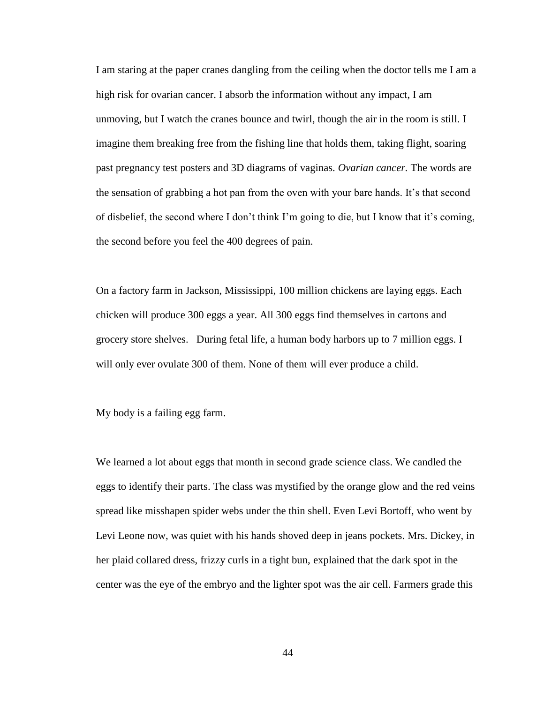I am staring at the paper cranes dangling from the ceiling when the doctor tells me I am a high risk for ovarian cancer. I absorb the information without any impact, I am unmoving, but I watch the cranes bounce and twirl, though the air in the room is still. I imagine them breaking free from the fishing line that holds them, taking flight, soaring past pregnancy test posters and 3D diagrams of vaginas. *Ovarian cancer.* The words are the sensation of grabbing a hot pan from the oven with your bare hands. It's that second of disbelief, the second where I don't think I'm going to die, but I know that it's coming, the second before you feel the 400 degrees of pain.

On a factory farm in Jackson, Mississippi, 100 million chickens are laying eggs. Each chicken will produce 300 eggs a year. All 300 eggs find themselves in cartons and grocery store shelves. During fetal life, a human body harbors up to 7 million eggs. I will only ever ovulate 300 of them. None of them will ever produce a child.

My body is a failing egg farm.

We learned a lot about eggs that month in second grade science class. We candled the eggs to identify their parts. The class was mystified by the orange glow and the red veins spread like misshapen spider webs under the thin shell. Even Levi Bortoff, who went by Levi Leone now, was quiet with his hands shoved deep in jeans pockets. Mrs. Dickey, in her plaid collared dress, frizzy curls in a tight bun, explained that the dark spot in the center was the eye of the embryo and the lighter spot was the air cell. Farmers grade this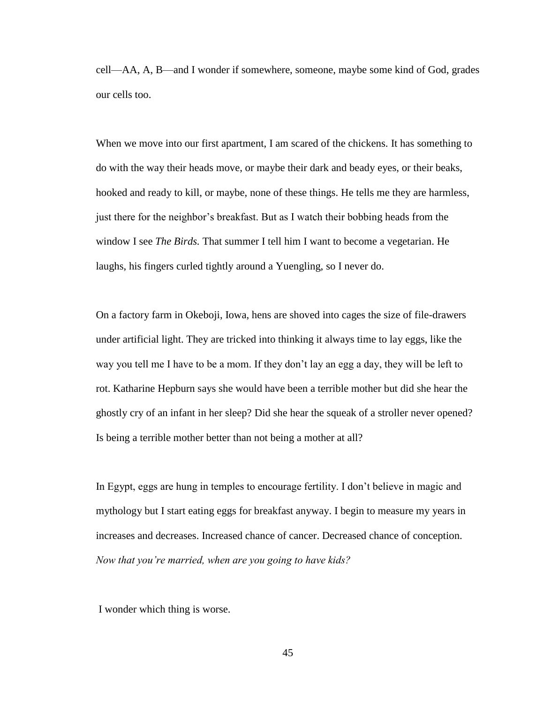cell—AA, A, B—and I wonder if somewhere, someone, maybe some kind of God, grades our cells too.

When we move into our first apartment, I am scared of the chickens. It has something to do with the way their heads move, or maybe their dark and beady eyes, or their beaks, hooked and ready to kill, or maybe, none of these things. He tells me they are harmless, just there for the neighbor's breakfast. But as I watch their bobbing heads from the window I see *The Birds.* That summer I tell him I want to become a vegetarian. He laughs, his fingers curled tightly around a Yuengling, so I never do.

On a factory farm in Okeboji, Iowa, hens are shoved into cages the size of file-drawers under artificial light. They are tricked into thinking it always time to lay eggs, like the way you tell me I have to be a mom. If they don't lay an egg a day, they will be left to rot. Katharine Hepburn says she would have been a terrible mother but did she hear the ghostly cry of an infant in her sleep? Did she hear the squeak of a stroller never opened? Is being a terrible mother better than not being a mother at all?

In Egypt, eggs are hung in temples to encourage fertility. I don't believe in magic and mythology but I start eating eggs for breakfast anyway. I begin to measure my years in increases and decreases. Increased chance of cancer. Decreased chance of conception. *Now that you're married, when are you going to have kids?*

I wonder which thing is worse.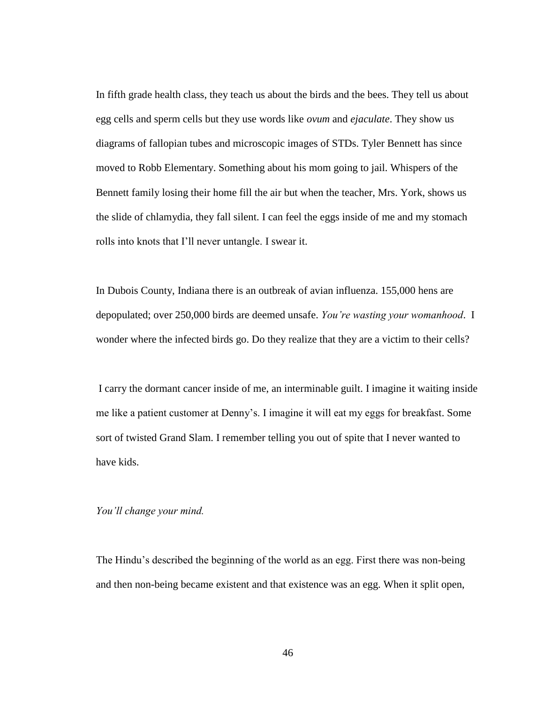In fifth grade health class, they teach us about the birds and the bees. They tell us about egg cells and sperm cells but they use words like *ovum* and *ejaculate*. They show us diagrams of fallopian tubes and microscopic images of STDs. Tyler Bennett has since moved to Robb Elementary. Something about his mom going to jail. Whispers of the Bennett family losing their home fill the air but when the teacher, Mrs. York, shows us the slide of chlamydia, they fall silent. I can feel the eggs inside of me and my stomach rolls into knots that I'll never untangle. I swear it.

In Dubois County, Indiana there is an outbreak of avian influenza. 155,000 hens are depopulated; over 250,000 birds are deemed unsafe. *You're wasting your womanhood*. I wonder where the infected birds go. Do they realize that they are a victim to their cells?

I carry the dormant cancer inside of me, an interminable guilt. I imagine it waiting inside me like a patient customer at Denny's. I imagine it will eat my eggs for breakfast. Some sort of twisted Grand Slam. I remember telling you out of spite that I never wanted to have kids.

#### *You'll change your mind.*

The Hindu's described the beginning of the world as an egg. First there was non-being and then non-being became existent and that existence was an egg. When it split open,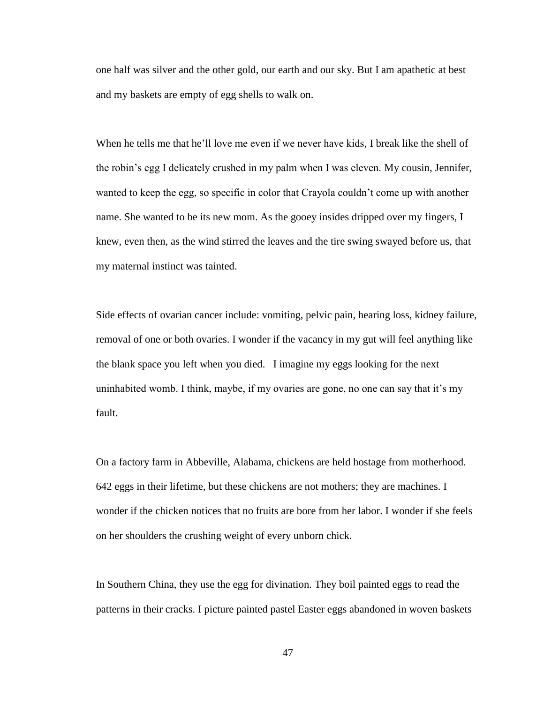one half was silver and the other gold, our earth and our sky. But I am apathetic at best and my baskets are empty of egg shells to walk on.

When he tells me that he'll love me even if we never have kids, I break like the shell of the robin's egg I delicately crushed in my palm when I was eleven. My cousin, Jennifer, wanted to keep the egg, so specific in color that Crayola couldn't come up with another name. She wanted to be its new mom. As the gooey insides dripped over my fingers, I knew, even then, as the wind stirred the leaves and the tire swing swayed before us, that my maternal instinct was tainted.

Side effects of ovarian cancer include: vomiting, pelvic pain, hearing loss, kidney failure, removal of one or both ovaries. I wonder if the vacancy in my gut will feel anything like the blank space you left when you died. I imagine my eggs looking for the next uninhabited womb. I think, maybe, if my ovaries are gone, no one can say that it's my fault.

On a factory farm in Abbeville, Alabama, chickens are held hostage from motherhood. 642 eggs in their lifetime, but these chickens are not mothers; they are machines. I wonder if the chicken notices that no fruits are bore from her labor. I wonder if she feels on her shoulders the crushing weight of every unborn chick.

In Southern China, they use the egg for divination. They boil painted eggs to read the patterns in their cracks. I picture painted pastel Easter eggs abandoned in woven baskets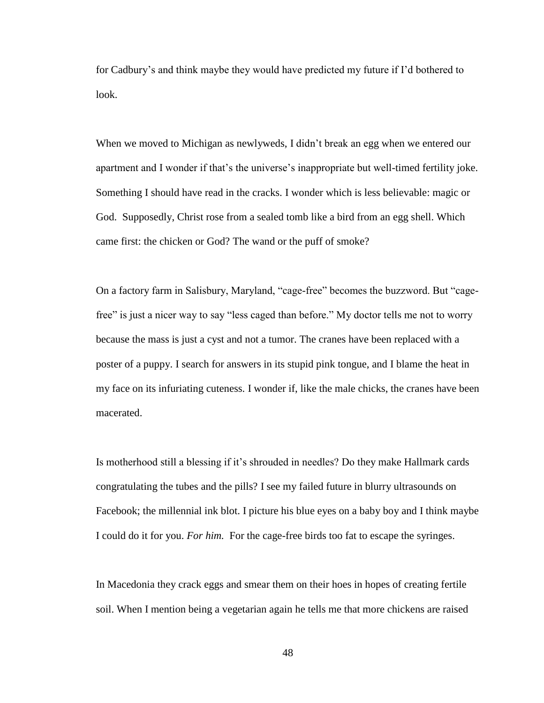for Cadbury's and think maybe they would have predicted my future if I'd bothered to look.

When we moved to Michigan as newlyweds, I didn't break an egg when we entered our apartment and I wonder if that's the universe's inappropriate but well-timed fertility joke. Something I should have read in the cracks. I wonder which is less believable: magic or God. Supposedly, Christ rose from a sealed tomb like a bird from an egg shell. Which came first: the chicken or God? The wand or the puff of smoke?

On a factory farm in Salisbury, Maryland, "cage-free" becomes the buzzword. But "cagefree" is just a nicer way to say "less caged than before." My doctor tells me not to worry because the mass is just a cyst and not a tumor. The cranes have been replaced with a poster of a puppy. I search for answers in its stupid pink tongue, and I blame the heat in my face on its infuriating cuteness. I wonder if, like the male chicks, the cranes have been macerated.

Is motherhood still a blessing if it's shrouded in needles? Do they make Hallmark cards congratulating the tubes and the pills? I see my failed future in blurry ultrasounds on Facebook; the millennial ink blot. I picture his blue eyes on a baby boy and I think maybe I could do it for you. *For him.* For the cage-free birds too fat to escape the syringes.

In Macedonia they crack eggs and smear them on their hoes in hopes of creating fertile soil. When I mention being a vegetarian again he tells me that more chickens are raised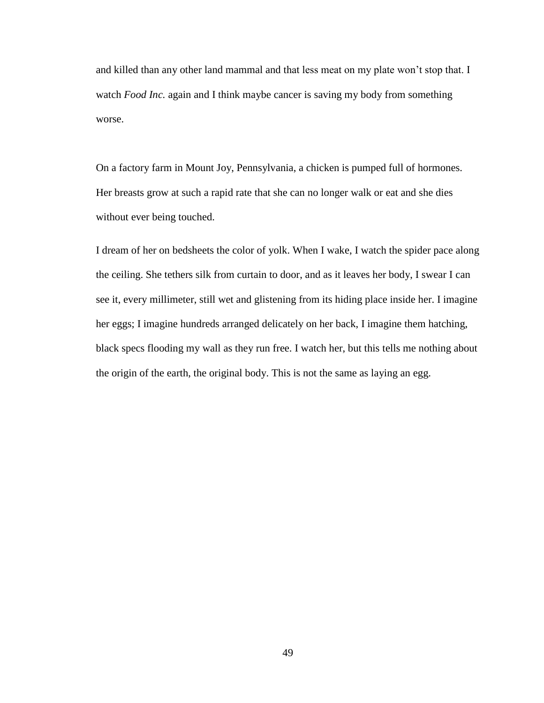and killed than any other land mammal and that less meat on my plate won't stop that. I watch *Food Inc.* again and I think maybe cancer is saving my body from something worse.

On a factory farm in Mount Joy, Pennsylvania, a chicken is pumped full of hormones. Her breasts grow at such a rapid rate that she can no longer walk or eat and she dies without ever being touched.

I dream of her on bedsheets the color of yolk. When I wake, I watch the spider pace along the ceiling. She tethers silk from curtain to door, and as it leaves her body, I swear I can see it, every millimeter, still wet and glistening from its hiding place inside her. I imagine her eggs; I imagine hundreds arranged delicately on her back, I imagine them hatching, black specs flooding my wall as they run free. I watch her, but this tells me nothing about the origin of the earth, the original body. This is not the same as laying an egg.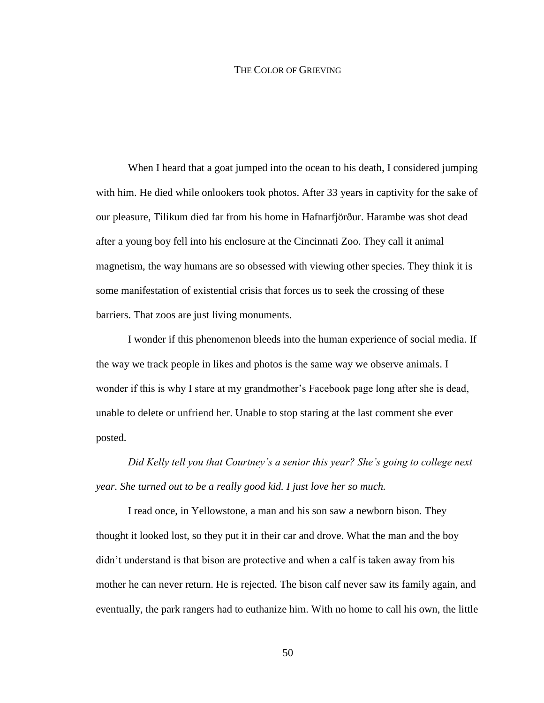#### THE COLOR OF GRIEVING

When I heard that a goat jumped into the ocean to his death, I considered jumping with him. He died while onlookers took photos. After 33 years in captivity for the sake of our pleasure, Tilikum died far from his home in Hafnarfjörður. Harambe was shot dead after a young boy fell into his enclosure at the Cincinnati Zoo. They call it animal magnetism, the way humans are so obsessed with viewing other species. They think it is some manifestation of existential crisis that forces us to seek the crossing of these barriers. That zoos are just living monuments.

I wonder if this phenomenon bleeds into the human experience of social media. If the way we track people in likes and photos is the same way we observe animals. I wonder if this is why I stare at my grandmother's Facebook page long after she is dead, unable to delete or unfriend her. Unable to stop staring at the last comment she ever posted.

*Did Kelly tell you that Courtney's a senior this year? She's going to college next year. She turned out to be a really good kid. I just love her so much.*

I read once, in Yellowstone, a man and his son saw a newborn bison. They thought it looked lost, so they put it in their car and drove. What the man and the boy didn't understand is that bison are protective and when a calf is taken away from his mother he can never return. He is rejected. The bison calf never saw its family again, and eventually, the park rangers had to euthanize him. With no home to call his own, the little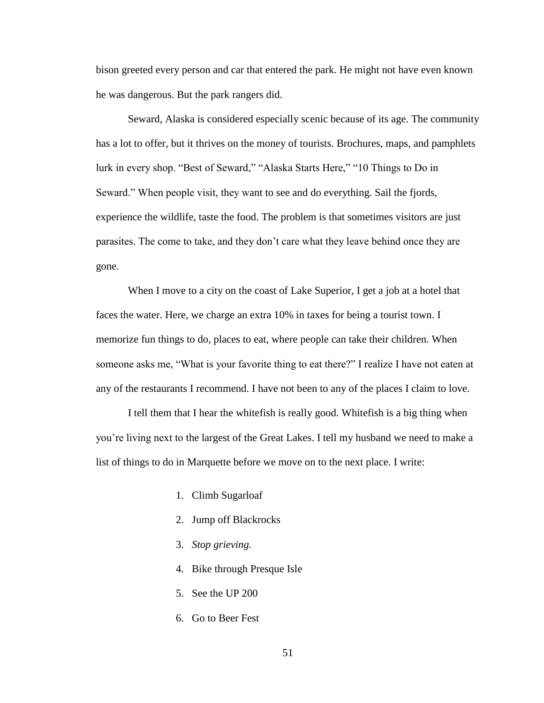bison greeted every person and car that entered the park. He might not have even known he was dangerous. But the park rangers did.

Seward, Alaska is considered especially scenic because of its age. The community has a lot to offer, but it thrives on the money of tourists. Brochures, maps, and pamphlets lurk in every shop. "Best of Seward," "Alaska Starts Here," "10 Things to Do in Seward." When people visit, they want to see and do everything. Sail the fjords, experience the wildlife, taste the food. The problem is that sometimes visitors are just parasites. The come to take, and they don't care what they leave behind once they are gone.

When I move to a city on the coast of Lake Superior, I get a job at a hotel that faces the water. Here, we charge an extra 10% in taxes for being a tourist town. I memorize fun things to do, places to eat, where people can take their children. When someone asks me, "What is your favorite thing to eat there?" I realize I have not eaten at any of the restaurants I recommend. I have not been to any of the places I claim to love.

I tell them that I hear the whitefish is really good. Whitefish is a big thing when you're living next to the largest of the Great Lakes. I tell my husband we need to make a list of things to do in Marquette before we move on to the next place. I write:

- 1. Climb Sugarloaf
- 2. Jump off Blackrocks
- 3. *Stop grieving.*
- 4. Bike through Presque Isle
- 5. See the UP 200
- 6. Go to Beer Fest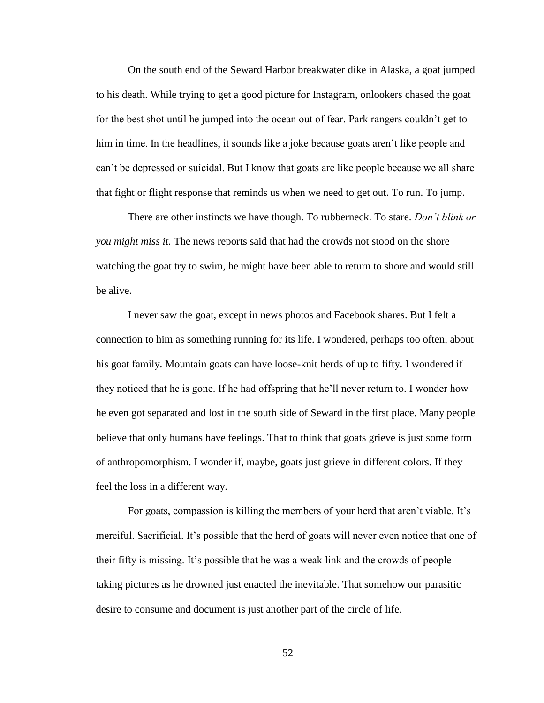On the south end of the Seward Harbor breakwater dike in Alaska, a goat jumped to his death. While trying to get a good picture for Instagram, onlookers chased the goat for the best shot until he jumped into the ocean out of fear. Park rangers couldn't get to him in time. In the headlines, it sounds like a joke because goats aren't like people and can't be depressed or suicidal. But I know that goats are like people because we all share that fight or flight response that reminds us when we need to get out. To run. To jump.

There are other instincts we have though. To rubberneck. To stare. *Don't blink or you might miss it.* The news reports said that had the crowds not stood on the shore watching the goat try to swim, he might have been able to return to shore and would still be alive.

I never saw the goat, except in news photos and Facebook shares. But I felt a connection to him as something running for its life. I wondered, perhaps too often, about his goat family. Mountain goats can have loose-knit herds of up to fifty. I wondered if they noticed that he is gone. If he had offspring that he'll never return to. I wonder how he even got separated and lost in the south side of Seward in the first place. Many people believe that only humans have feelings. That to think that goats grieve is just some form of anthropomorphism. I wonder if, maybe, goats just grieve in different colors. If they feel the loss in a different way.

For goats, compassion is killing the members of your herd that aren't viable. It's merciful. Sacrificial. It's possible that the herd of goats will never even notice that one of their fifty is missing. It's possible that he was a weak link and the crowds of people taking pictures as he drowned just enacted the inevitable. That somehow our parasitic desire to consume and document is just another part of the circle of life.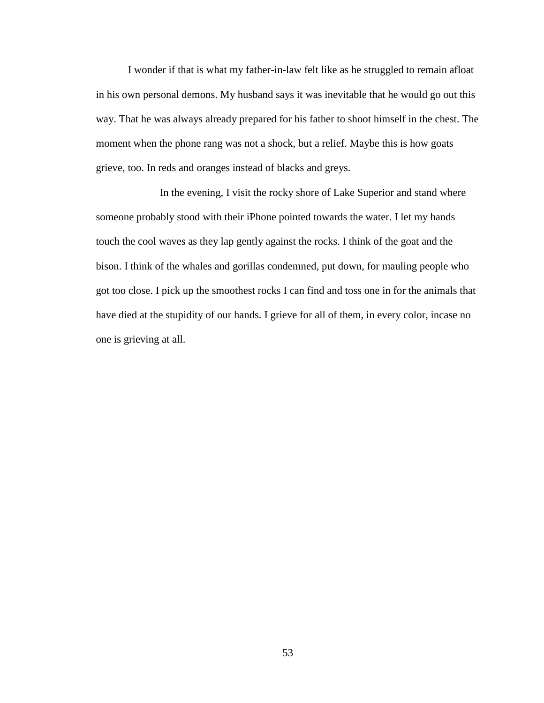I wonder if that is what my father-in-law felt like as he struggled to remain afloat in his own personal demons. My husband says it was inevitable that he would go out this way. That he was always already prepared for his father to shoot himself in the chest. The moment when the phone rang was not a shock, but a relief. Maybe this is how goats grieve, too. In reds and oranges instead of blacks and greys.

In the evening, I visit the rocky shore of Lake Superior and stand where someone probably stood with their iPhone pointed towards the water. I let my hands touch the cool waves as they lap gently against the rocks. I think of the goat and the bison. I think of the whales and gorillas condemned, put down, for mauling people who got too close. I pick up the smoothest rocks I can find and toss one in for the animals that have died at the stupidity of our hands. I grieve for all of them, in every color, incase no one is grieving at all.